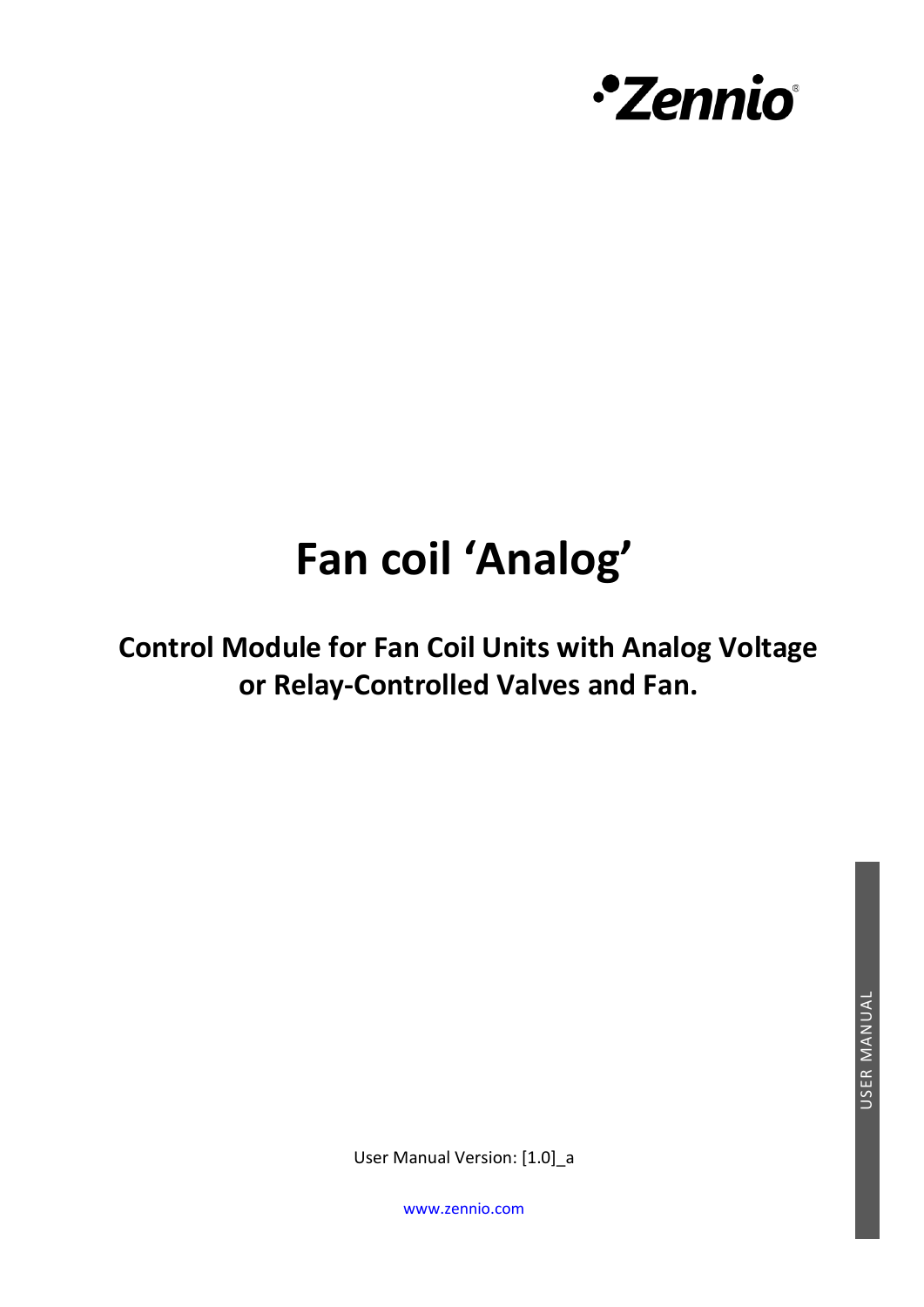

# **Fan coil 'Analog'**

**Control Module for Fan Coil Units with Analog Voltage or Relay-Controlled Valves and Fan.**

User Manual Version: [1.0]\_a

[www.zennio.com](https://zennio.com/)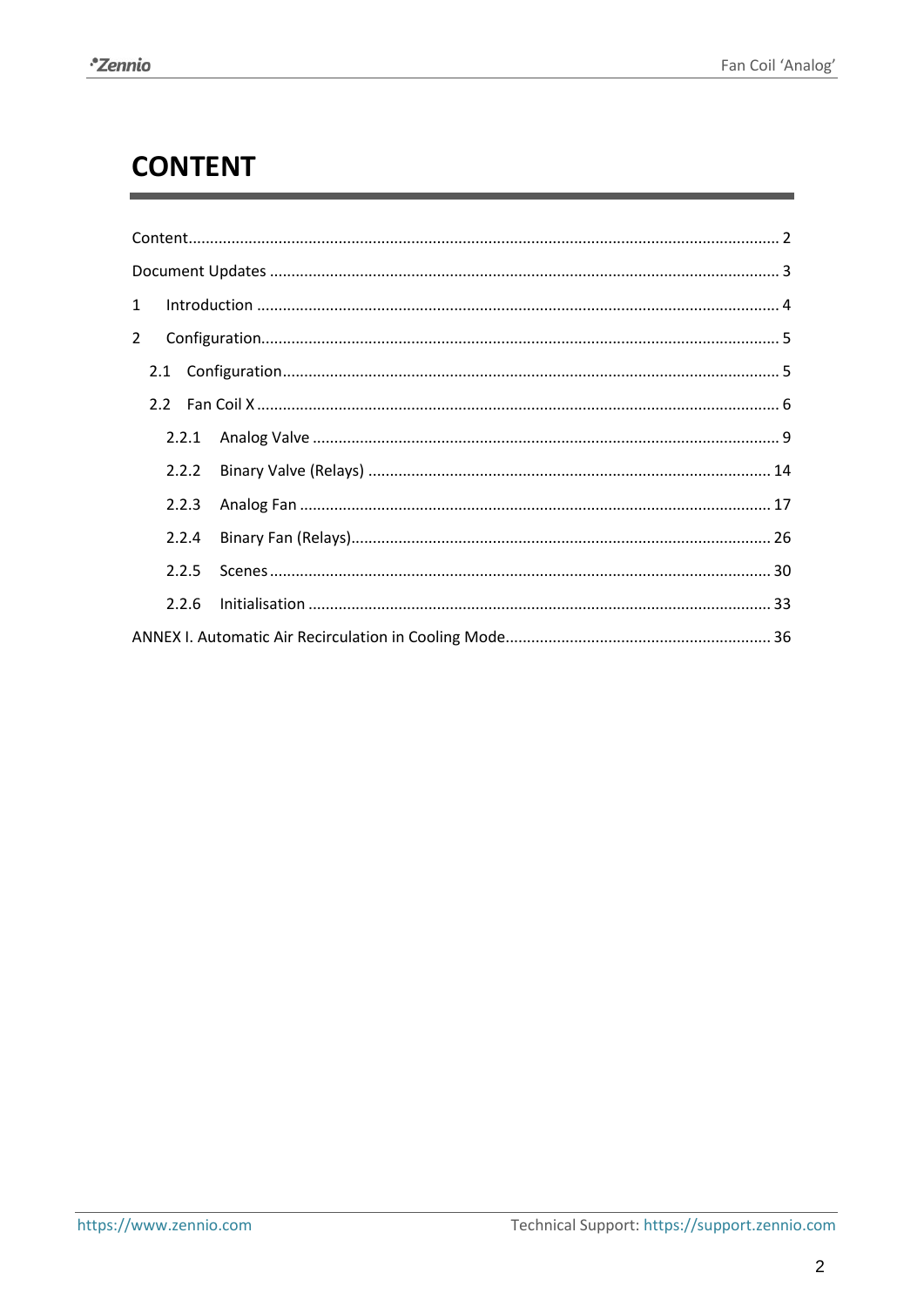## <span id="page-1-0"></span>**CONTENT**

| $\mathbf{1}$   |  |
|----------------|--|
| $\overline{2}$ |  |
|                |  |
|                |  |
|                |  |
| 2.2.2          |  |
| 2.2.3          |  |
| 2.2.4          |  |
| 2.2.5          |  |
| 2.2.6          |  |
|                |  |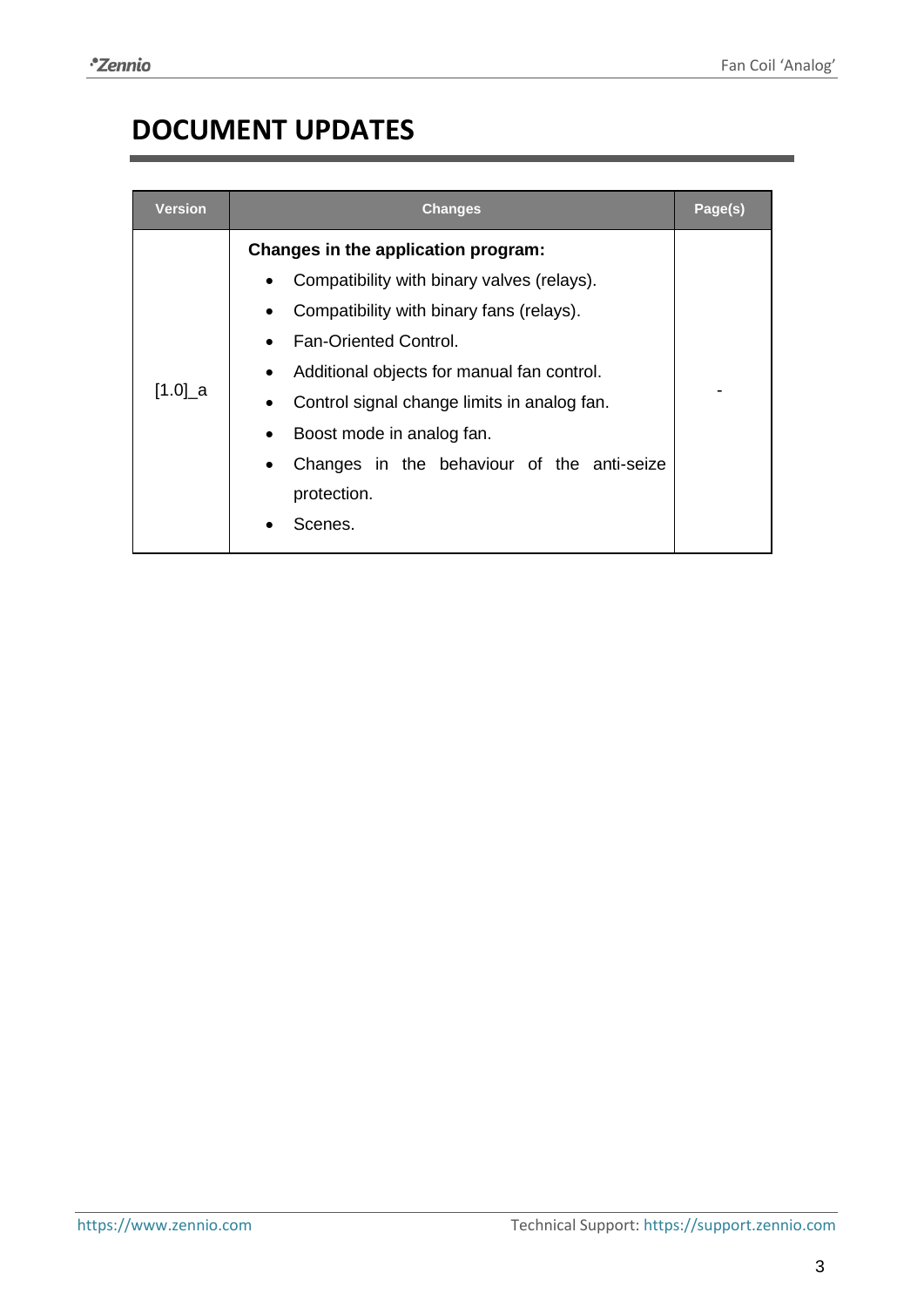## <span id="page-2-0"></span>**DOCUMENT UPDATES**

| Version    | <b>Changes</b>                                                                                                                                                                                                                                                                                                                                                                                                        | Page(s) |
|------------|-----------------------------------------------------------------------------------------------------------------------------------------------------------------------------------------------------------------------------------------------------------------------------------------------------------------------------------------------------------------------------------------------------------------------|---------|
| $[1.0]$ _a | Changes in the application program:<br>Compatibility with binary valves (relays).<br>$\bullet$<br>Compatibility with binary fans (relays).<br>$\bullet$<br><b>Fan-Oriented Control.</b><br>Additional objects for manual fan control.<br>$\bullet$<br>Control signal change limits in analog fan.<br>$\bullet$<br>Boost mode in analog fan.<br>Changes in the behaviour of the anti-seize<br>$\bullet$<br>protection. |         |
|            | Scenes.                                                                                                                                                                                                                                                                                                                                                                                                               |         |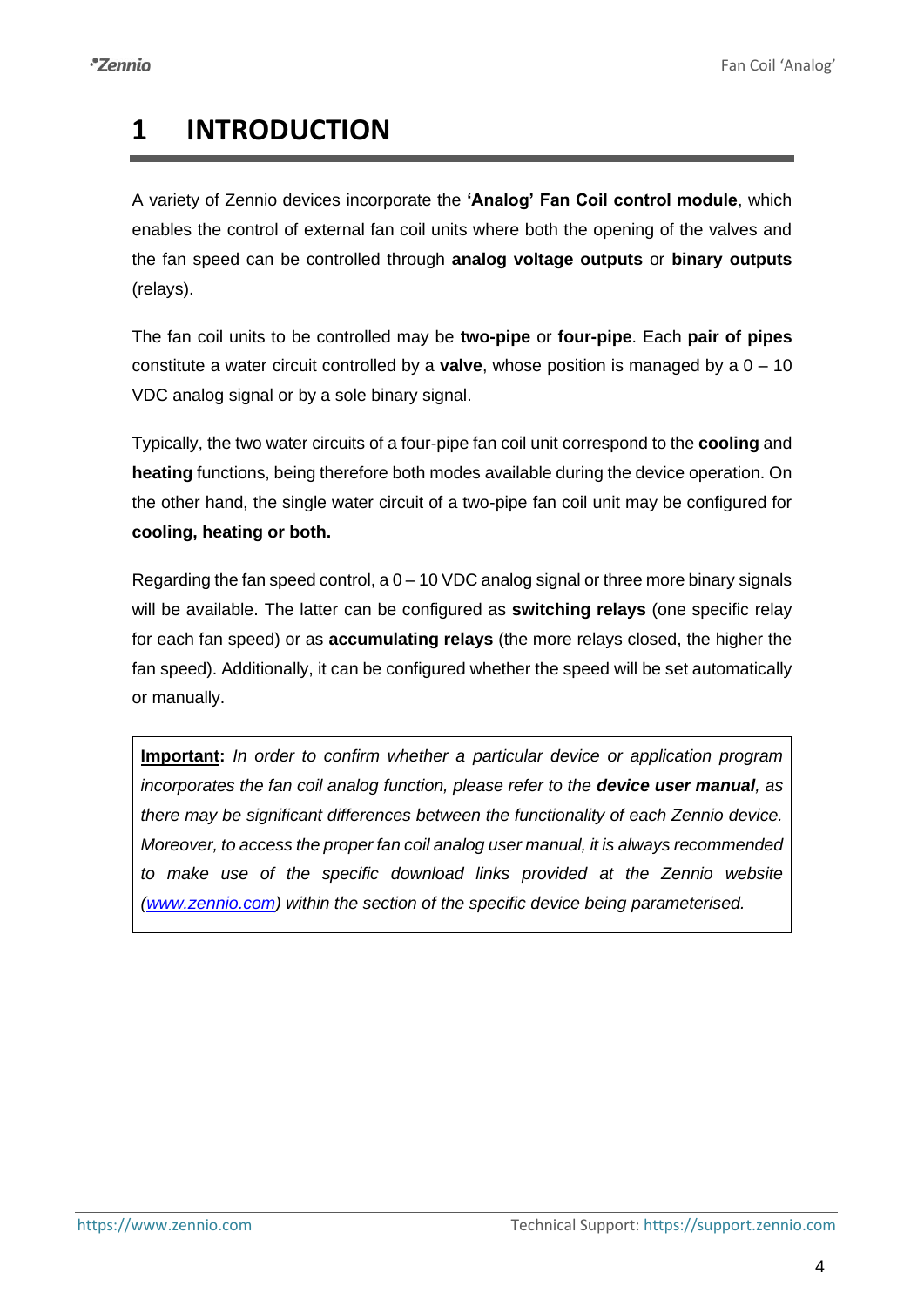## <span id="page-3-0"></span>**1 INTRODUCTION**

A variety of Zennio devices incorporate the **'Analog' Fan Coil control module**, which enables the control of external fan coil units where both the opening of the valves and the fan speed can be controlled through **analog voltage outputs** or **binary outputs** (relays).

The fan coil units to be controlled may be **two-pipe** or **four-pipe**. Each **pair of pipes** constitute a water circuit controlled by a **valve**, whose position is managed by a 0 – 10 VDC analog signal or by a sole binary signal.

Typically, the two water circuits of a four-pipe fan coil unit correspond to the **cooling** and **heating** functions, being therefore both modes available during the device operation. On the other hand, the single water circuit of a two-pipe fan coil unit may be configured for **cooling, heating or both.**

Regarding the fan speed control, a  $0 - 10$  VDC analog signal or three more binary signals will be available. The latter can be configured as **switching relays** (one specific relay for each fan speed) or as **accumulating relays** (the more relays closed, the higher the fan speed). Additionally, it can be configured whether the speed will be set automatically or manually.

**Important:** *In order to confirm whether a particular device or application program incorporates the fan coil analog function, please refer to the device user manual, as there may be significant differences between the functionality of each Zennio device. Moreover, to access the proper fan coil analog user manual, it is always recommended to make use of the specific download links provided at the Zennio website [\(www.zennio.com\)](htttps://www.zennio.com/) within the section of the specific device being parameterised.*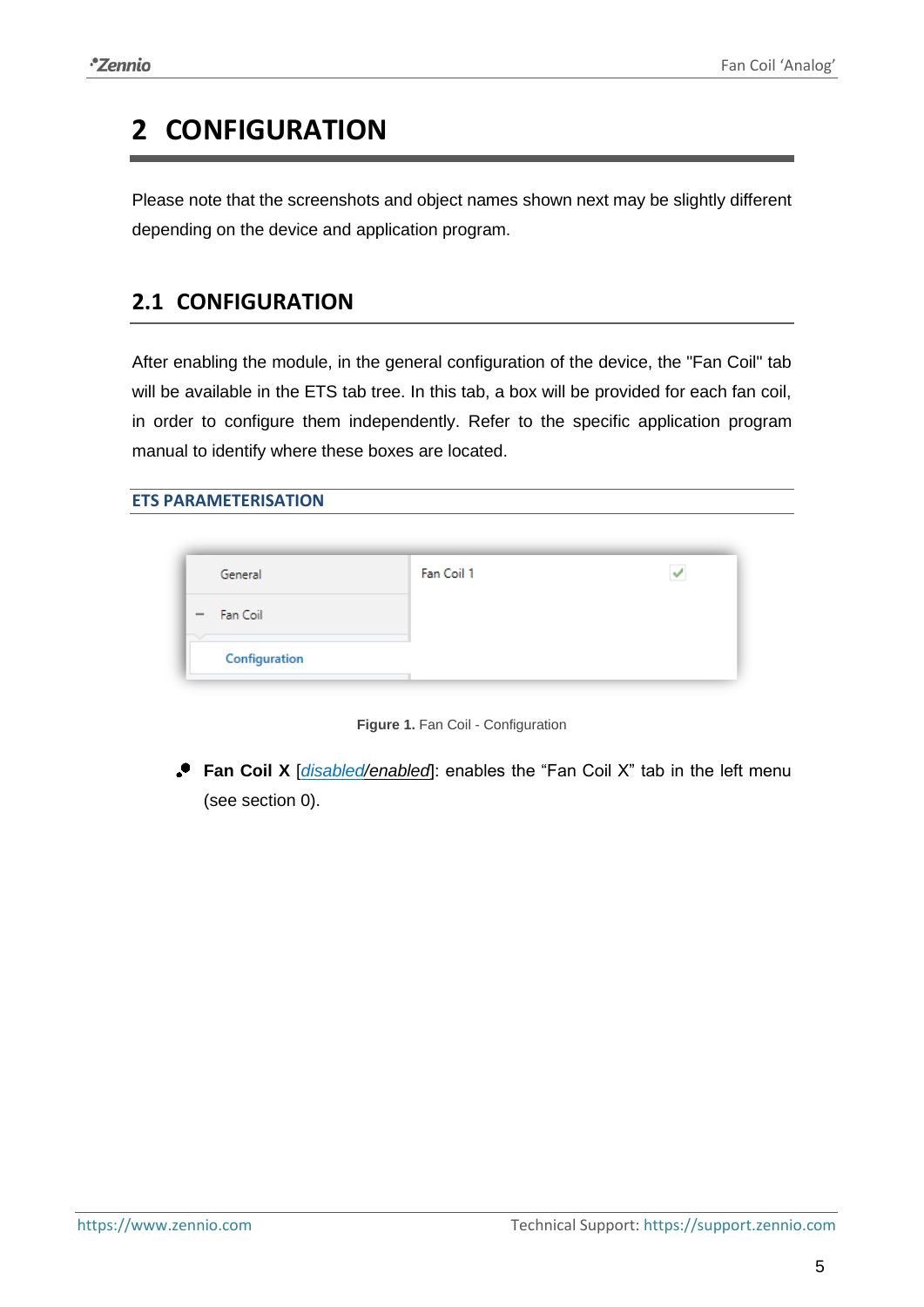## <span id="page-4-0"></span>**2 CONFIGURATION**

Please note that the screenshots and object names shown next may be slightly different depending on the device and application program.

## <span id="page-4-1"></span>**2.1 CONFIGURATION**

After enabling the module, in the general configuration of the device, the "Fan Coil" tab will be available in the ETS tab tree. In this tab, a box will be provided for each fan coil, in order to configure them independently. Refer to the specific application program manual to identify where these boxes are located.

#### **ETS PARAMETERISATION**

| General                              | Fan Coil 1 |  |
|--------------------------------------|------------|--|
| Fan Coil<br>$\overline{\phantom{m}}$ |            |  |
| Configuration                        |            |  |

**Figure 1.** Fan Coil - Configuration

<span id="page-4-2"></span>**Fan Coil X** [*disabled/enabled*]: enables the "Fan Coil X" tab in the left menu (see section [0\)](#page-4-2).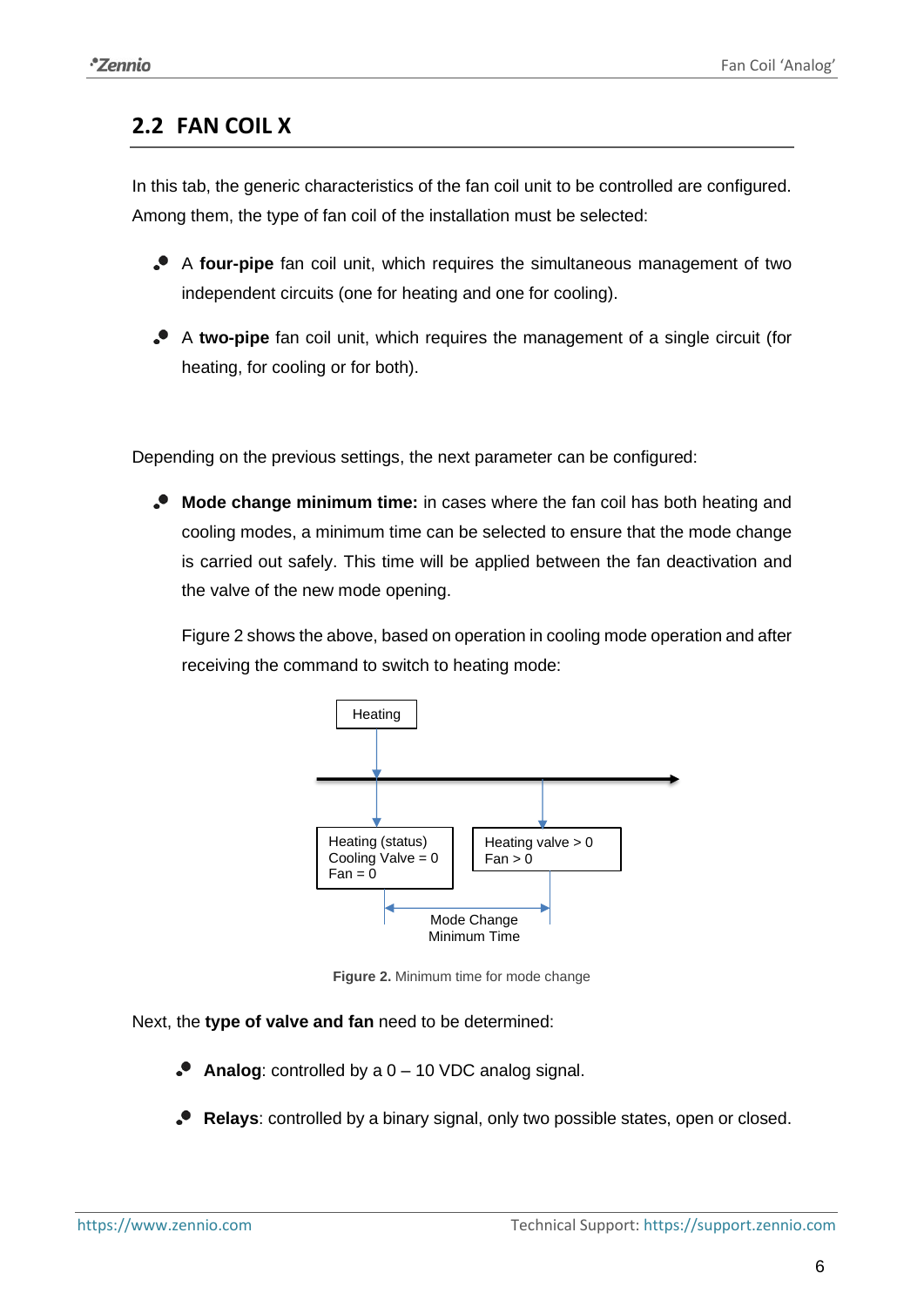## **2.2 FAN COIL X**

In this tab, the generic characteristics of the fan coil unit to be controlled are configured. Among them, the type of fan coil of the installation must be selected:

- A **four-pipe** fan coil unit, which requires the simultaneous management of two independent circuits (one for heating and one for cooling).
- A **two-pipe** fan coil unit, which requires the management of a single circuit (for heating, for cooling or for both).

Depending on the previous settings, the next parameter can be configured:

**Mode change minimum time:** in cases where the fan coil has both heating and cooling modes, a minimum time can be selected to ensure that the mode change is carried out safely. This time will be applied between the fan deactivation and the valve of the new mode opening.

[Figure 2](#page-5-0) shows the above, based on operation in cooling mode operation and after receiving the command to switch to heating mode:



**Figure 2.** Minimum time for mode change

## <span id="page-5-0"></span>Next, the **type of valve and fan** need to be determined:

- **Analog**: controlled by a 0 10 VDC analog signal.
- **Relays**: controlled by a binary signal, only two possible states, open or closed.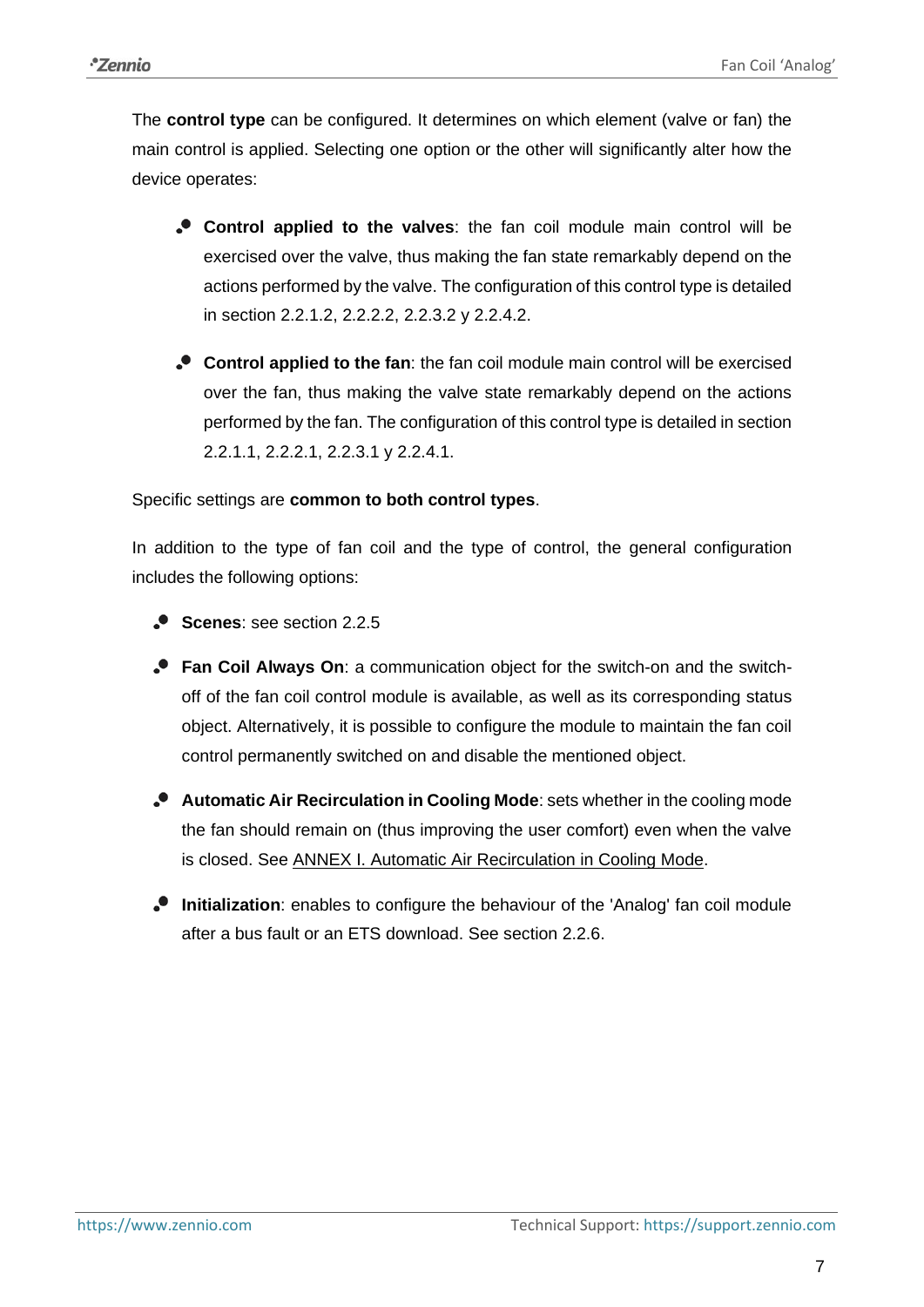The **control type** can be configured. It determines on which element (valve or fan) the main control is applied. Selecting one option or the other will significantly alter how the device operates:

- **Control applied to the valves**: the fan coil module main control will be exercised over the valve, thus making the fan state remarkably depend on the actions performed by the valve. The configuration of this control type is detailed in section [2.2.1.2,](#page-13-1) [2.2.2.2,](#page-14-0) [2.2.3.2](#page-24-0) y [2.2.4.2.](#page-29-1)
- **Control applied to the fan**: the fan coil module main control will be exercised over the fan, thus making the valve state remarkably depend on the actions performed by the fan. The configuration of this control type is detailed in section [2.2.1.1,](#page-8-1) [2.2.2.1,](#page-13-2) [2.2.3.1](#page-16-1) y [2.2.4.1.](#page-27-0)

## Specific settings are **common to both control types**.

In addition to the type of fan coil and the type of control, the general configuration includes the following options:

- **Scenes:** see section [2.2.5](#page-29-0)
- **Fan Coil Always On**: a communication object for the switch-on and the switchoff of the fan coil control module is available, as well as its corresponding status object. Alternatively, it is possible to configure the module to maintain the fan coil control permanently switched on and disable the mentioned object.
- **Automatic Air Recirculation in Cooling Mode**: sets whether in the cooling mode the fan should remain on (thus improving the user comfort) even when the valve is closed. See [ANNEX I. Automatic Air Recirculation in Cooling Mode.](#page-35-0)
- **Initialization**: enables to configure the behaviour of the 'Analog' fan coil module after a bus fault or an ETS download. See section [2.2.6.](#page-32-0)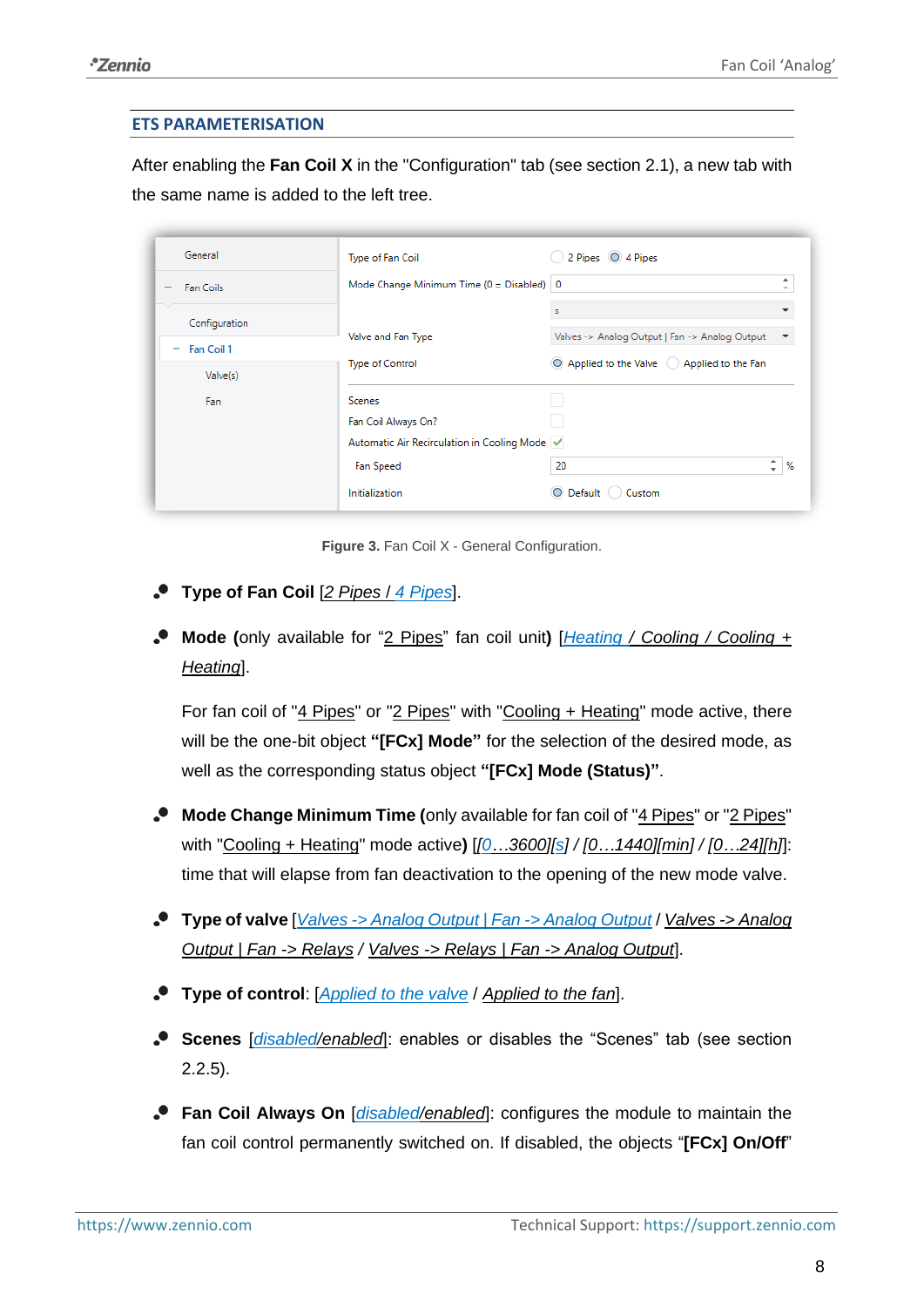### **ETS PARAMETERISATION**

After enabling the **Fan Coil X** in the "Configuration" tab (see sectio[n 2.1\)](#page-4-1), a new tab with the same name is added to the left tree.

| General                             | Type of Fan Coil                               | 2 Pipes 0 4 Pipes                              |                               |
|-------------------------------------|------------------------------------------------|------------------------------------------------|-------------------------------|
| Fan Coils                           | Mode Change Minimum Time ( $0 = Disabel$ )   0 |                                                | ۰<br>$\overline{\phantom{a}}$ |
| $\scriptstyle\sim$<br>Configuration |                                                | s                                              |                               |
| Fan Coil 1<br>$\sim$                | Valve and Fan Type                             | Valves -> Analog Output   Fan -> Analog Output |                               |
| Valve(s)                            | <b>Type of Control</b>                         | ◯ Applied to the Valve ◯ Applied to the Fan    |                               |
| Fan                                 | <b>Scenes</b>                                  |                                                |                               |
|                                     | Fan Coil Always On?                            |                                                |                               |
|                                     | Automatic Air Recirculation in Cooling Mode    |                                                |                               |
|                                     | Fan Speed                                      | ۰<br>20<br>÷                                   | %                             |
|                                     | Initialization                                 | Custom<br>O Default (                          |                               |

**Figure 3.** Fan Coil X - General Configuration.

- **Type of Fan Coil** [*2 Pipes* / *4 Pipes*].
- **Mode (**only available for "2 Pipes" fan coil unit**)** [*Heating / Cooling / Cooling + Heating*].

For fan coil of "4 Pipes" or "2 Pipes" with "Cooling + Heating" mode active, there will be the one-bit object **"[FCx] Mode"** for the selection of the desired mode, as well as the corresponding status object **"[FCx] Mode (Status)"**.

- **Mode Change Minimum Time (**only available for fan coil of "4 Pipes" or "2 Pipes" with "Cooling + Heating" mode active**)** [*[0…3600][s] / [0…1440][min] / [0…24][h]*]: time that will elapse from fan deactivation to the opening of the new mode valve.
- **Type of valve** [*Valves -> Analog Output | Fan -> Analog Output* / *Valves -> Analog Output | Fan -> Relays / Valves -> Relays | Fan -> Analog Output*].
- **Type of control**: [*Applied to the valve* / *Applied to the fan*].
- **Scenes** [*disabled/enabled*]: enables or disables the "Scenes" tab (see section [2.2.5\)](#page-29-0).
- **Fan Coil Always On** [*disabled/enabled*]: configures the module to maintain the fan coil control permanently switched on. If disabled, the objects "**[FCx] On/Off**"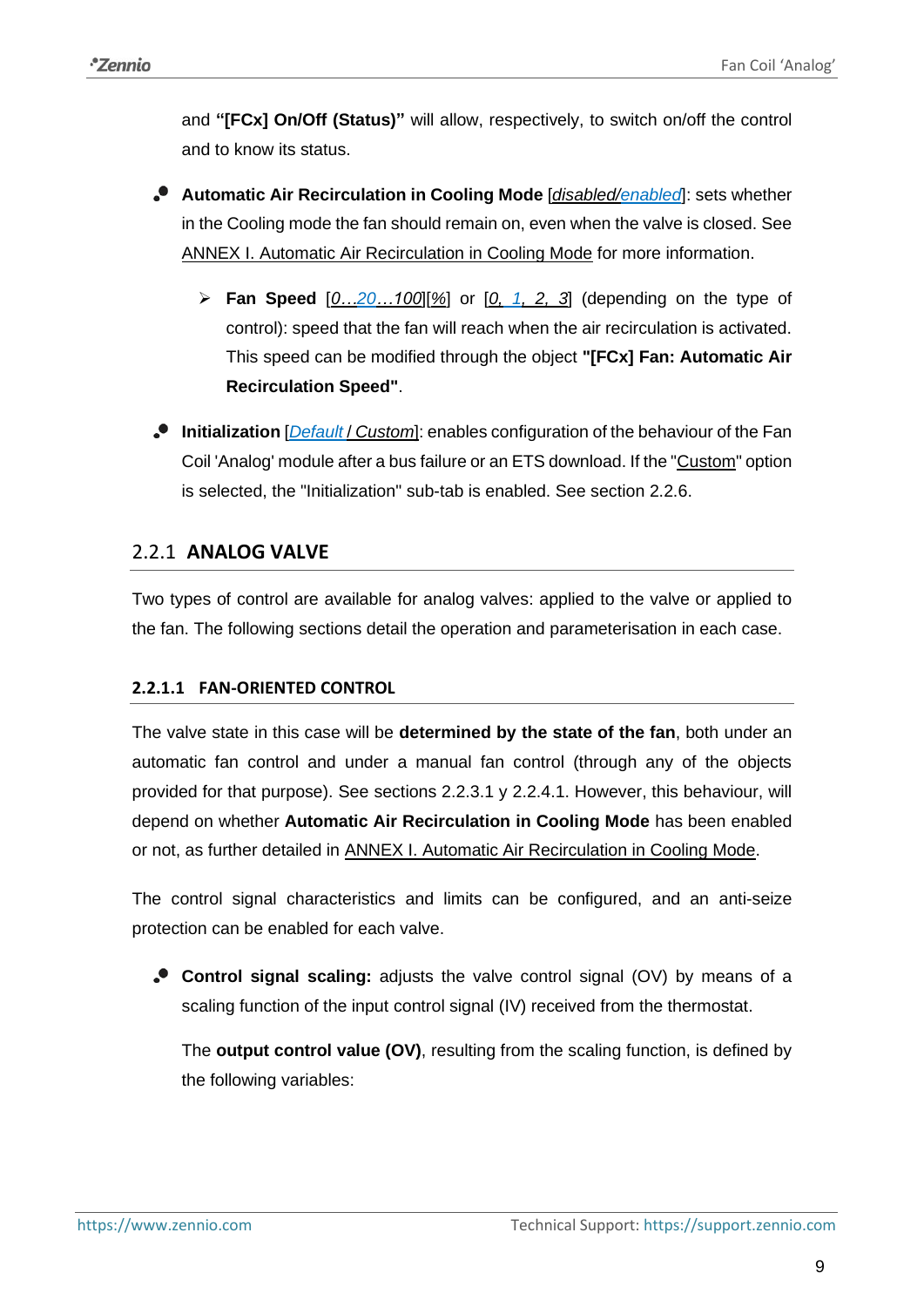<span id="page-8-2"></span>and **"[FCx] On/Off (Status)"** will allow, respectively, to switch on/off the control and to know its status.

- **Automatic Air Recirculation in Cooling Mode** [*disabled/enabled*]: sets whether in the Cooling mode the fan should remain on, even when the valve is closed. See [ANNEX I. Automatic Air Recirculation in Cooling Mode](#page-35-0) for more information.
	- ➢ **Fan Speed** [*0…20…100*][*%*] or [*0, 1, 2, 3*] (depending on the type of control): speed that the fan will reach when the air recirculation is activated. This speed can be modified through the object **"[FCx] Fan: Automatic Air Recirculation Speed"**.
- **Initialization** [*Default* / *Custom*]: enables configuration of the behaviour of the Fan Coil 'Analog' module after a bus failure or an ETS download. If the "Custom" option is selected, the "Initialization" sub-tab is enabled. See section [2.2.6.](#page-32-0)

## <span id="page-8-0"></span>2.2.1 **ANALOG VALVE**

Two types of control are available for analog valves: applied to the valve or applied to the fan. The following sections detail the operation and parameterisation in each case.

## <span id="page-8-1"></span>**2.2.1.1 FAN-ORIENTED CONTROL**

The valve state in this case will be **determined by the state of the fan**, both under an automatic fan control and under a manual fan control (through any of the objects provided for that purpose). See sections [2.2.3.1](#page-16-1) y [2.2.4.1.](#page-27-0) However, this behaviour, will depend on whether **Automatic Air Recirculation in Cooling Mode** has been enabled or not, as further detailed in [ANNEX I. Automatic Air Recirculation in Cooling Mode.](#page-35-0)

The control signal characteristics and limits can be configured, and an anti-seize protection can be enabled for each valve.

**Control signal scaling:** adjusts the valve control signal (OV) by means of a scaling function of the input control signal (IV) received from the thermostat.

The **output control value (OV)**, resulting from the scaling function, is defined by the following variables: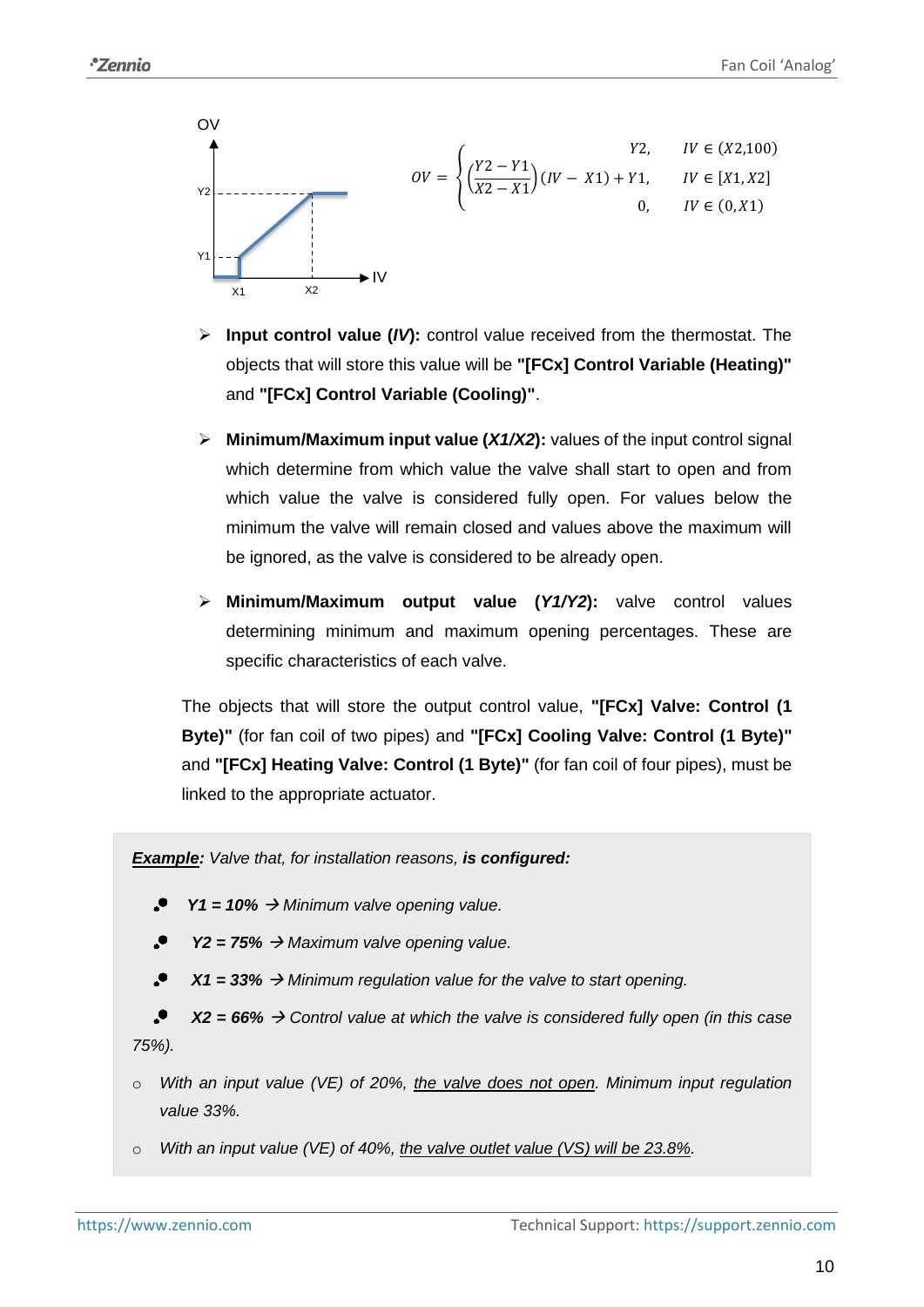

- ➢ **Input control value (***IV***):** control value received from the thermostat. The objects that will store this value will be **"[FCx] Control Variable (Heating)"** and **"[FCx] Control Variable (Cooling)"**.
- ➢ **Minimum/Maximum input value (***X1/X2***):** values of the input control signal which determine from which value the valve shall start to open and from which value the valve is considered fully open. For values below the minimum the valve will remain closed and values above the maximum will be ignored, as the valve is considered to be already open.
- ➢ **Minimum/Maximum output value (***Y1/Y2***):** valve control values determining minimum and maximum opening percentages. These are specific characteristics of each valve.

The objects that will store the output control value, **"[FCx] Valve: Control (1 Byte)"** (for fan coil of two pipes) and **"[FCx] Cooling Valve: Control (1 Byte)"** and **"[FCx] Heating Valve: Control (1 Byte)"** (for fan coil of four pipes), must be linked to the appropriate actuator.

*Example: Valve that, for installation reasons, is configured:*

- *Y1 = 10%* → *Minimum valve opening value.*
- $\cdot$ *Y2 = 75%* → *Maximum valve opening value.*

 $\bullet$ *X1 = 33%* → *Minimum regulation value for the valve to start opening.*

 $\cdot$ *X2 = 66%* → *Control value at which the valve is considered fully open (in this case 75%).*

- o *With an input value (VE) of 20%, the valve does not open. Minimum input regulation value 33%.*
- o *With an input value (VE) of 40%, the valve outlet value (VS) will be 23.8%.*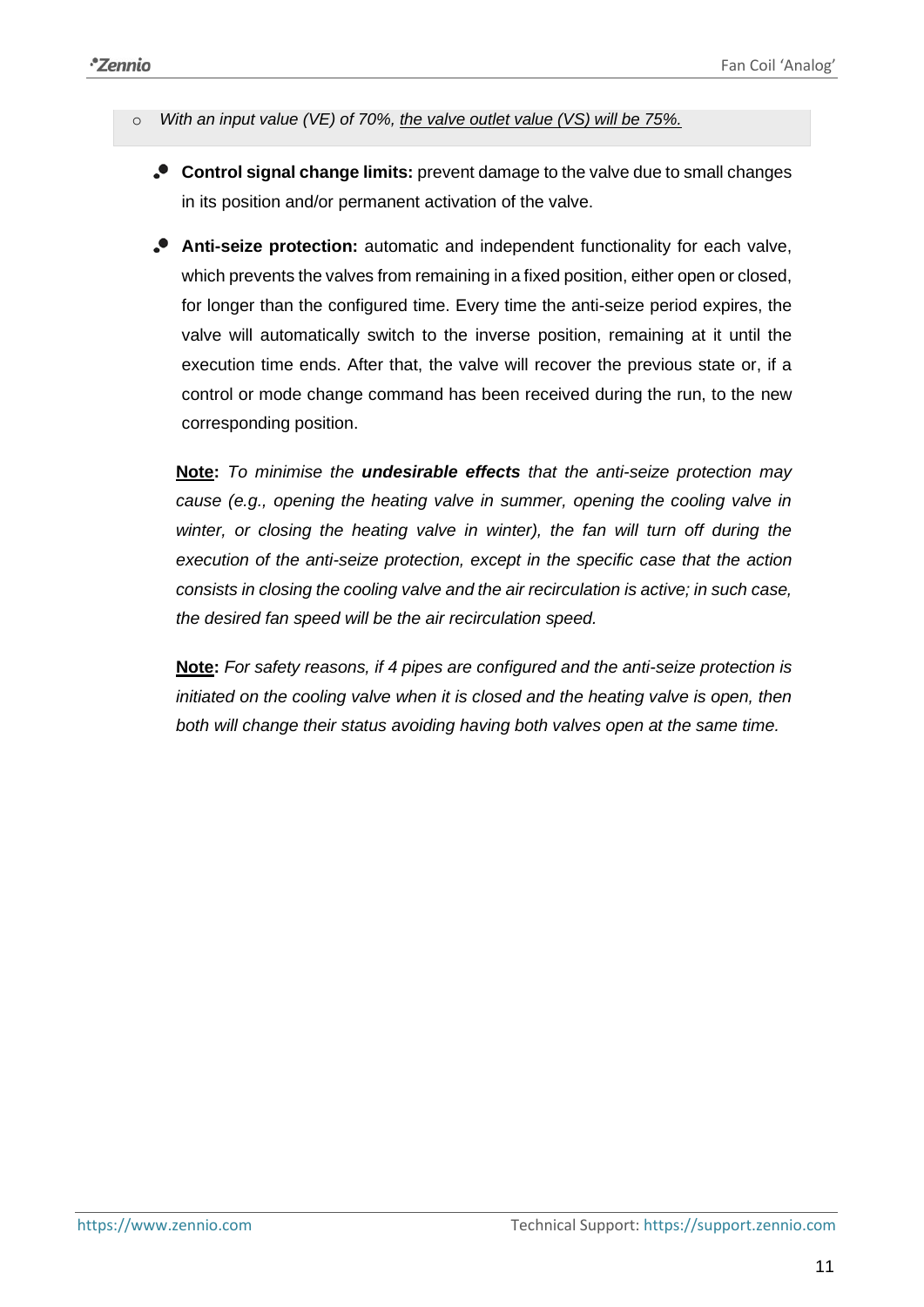- o *With an input value (VE) of 70%, the valve outlet value (VS) will be 75%.*
	- **Control signal change limits:** prevent damage to the valve due to small changes in its position and/or permanent activation of the valve.
	- **Anti-seize protection:** automatic and independent functionality for each valve, which prevents the valves from remaining in a fixed position, either open or closed, for longer than the configured time. Every time the anti-seize period expires, the valve will automatically switch to the inverse position, remaining at it until the execution time ends. After that, the valve will recover the previous state or, if a control or mode change command has been received during the run, to the new corresponding position.

**Note:** *To minimise the undesirable effects that the anti-seize protection may cause (e.g., opening the heating valve in summer, opening the cooling valve in*  winter, or closing the heating valve in winter), the fan will turn off during the *execution of the anti-seize protection, except in the specific case that the action consists in closing the cooling valve and the air recirculation is active; in such case, the desired fan speed will be the air recirculation speed.*

**Note:** *For safety reasons, if 4 pipes are configured and the anti-seize protection is initiated on the cooling valve when it is closed and the heating valve is open, then both will change their status avoiding having both valves open at the same time.*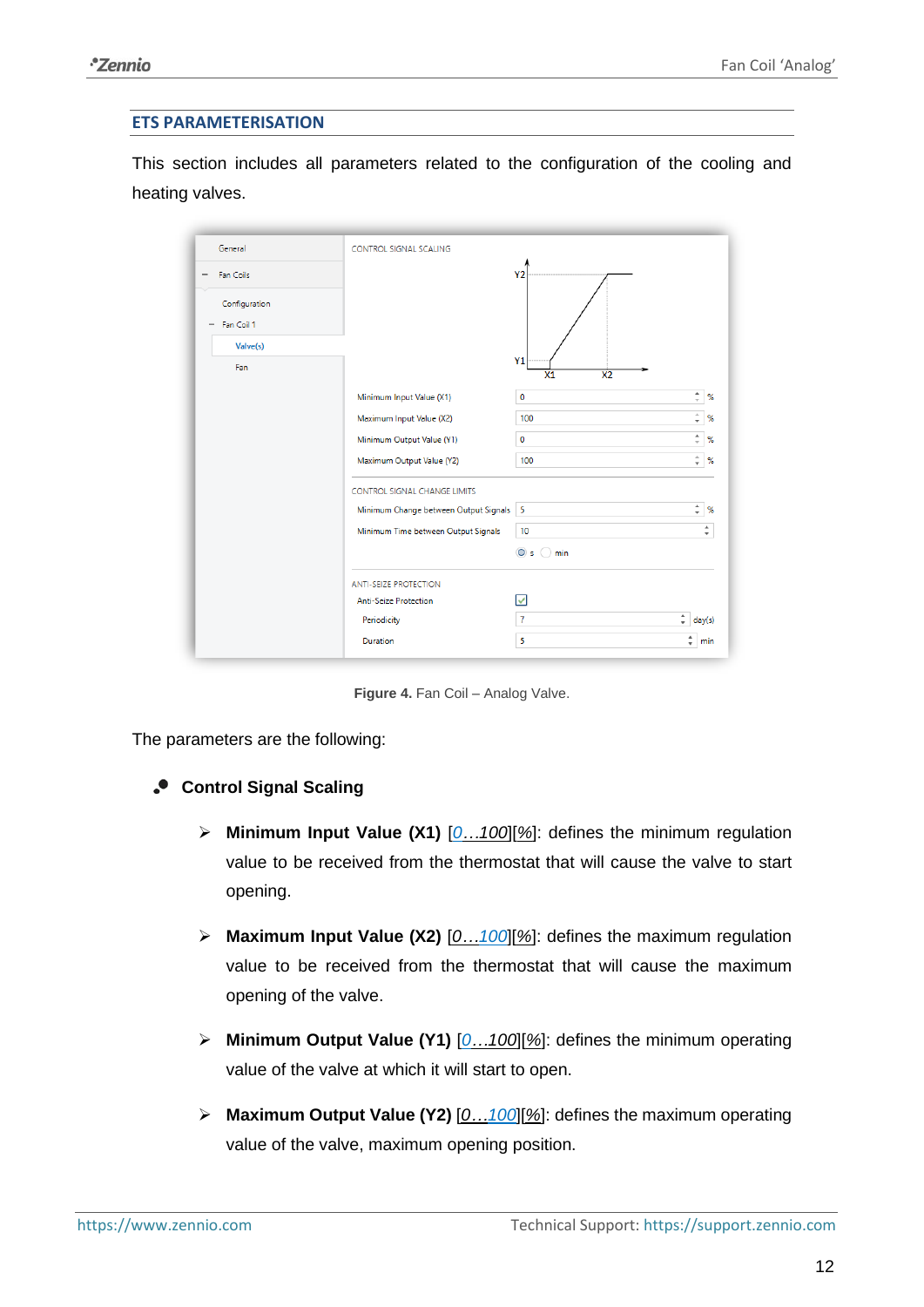#### **ETS PARAMETERISATION**

This section includes all parameters related to the configuration of the cooling and heating valves.

| General                                          | CONTROL SIGNAL SCALING                  |                                                               |        |
|--------------------------------------------------|-----------------------------------------|---------------------------------------------------------------|--------|
| Fan Coils<br>-                                   |                                         | Y <sub>2</sub>                                                |        |
| Configuration<br>Fan Coil 1<br>$\qquad \qquad -$ |                                         |                                                               |        |
| Valve(s)<br>Fan                                  |                                         | Y <sub>1</sub><br>$\overline{\mathsf{x}_1}$<br>X <sub>2</sub> |        |
|                                                  | Minimum Input Value (X1)                | $\frac{4}{v}$<br>0                                            | %      |
|                                                  | Maximum Input Value (X2)                | A<br>100<br>٠                                                 | %      |
|                                                  | Minimum Output Value (Y1)               | ۰<br>0<br>$\overline{\phantom{a}}$                            | %      |
|                                                  | Maximum Output Value (Y2)               | $\Delta$<br>100<br>$\overline{\phantom{a}}$                   | %      |
|                                                  | <b>CONTROL SIGNAL CHANGE LIMITS</b>     |                                                               |        |
|                                                  | Minimum Change between Output Signals 5 | $\frac{4}{v}$                                                 | %      |
|                                                  | Minimum Time between Output Signals     | 10                                                            | ٠<br>۰ |
|                                                  |                                         | O <sub>s</sub><br>min<br>- 1                                  |        |
|                                                  | <b>ANTI-SEIZE PROTECTION</b>            |                                                               |        |
|                                                  | <b>Anti-Seize Protection</b>            | ☑                                                             |        |
|                                                  | Periodicity                             | ÷<br>$\overline{7}$                                           | day(s) |
|                                                  | Duration                                | $\hat{\mathbf{v}}$<br>5                                       | min    |

**Figure 4.** Fan Coil – Analog Valve.

The parameters are the following:

- **Control Signal Scaling** 
	- ➢ **Minimum Input Value (X1)** [*0…100*][*%*]: defines the minimum regulation value to be received from the thermostat that will cause the valve to start opening.
	- ➢ **Maximum Input Value (X2)** [*0…100*][*%*]: defines the maximum regulation value to be received from the thermostat that will cause the maximum opening of the valve.
	- ➢ **Minimum Output Value (Y1)** [*0…100*][*%*]: defines the minimum operating value of the valve at which it will start to open.
	- ➢ **Maximum Output Value (Y2)** [*0…100*][*%*]: defines the maximum operating value of the valve, maximum opening position.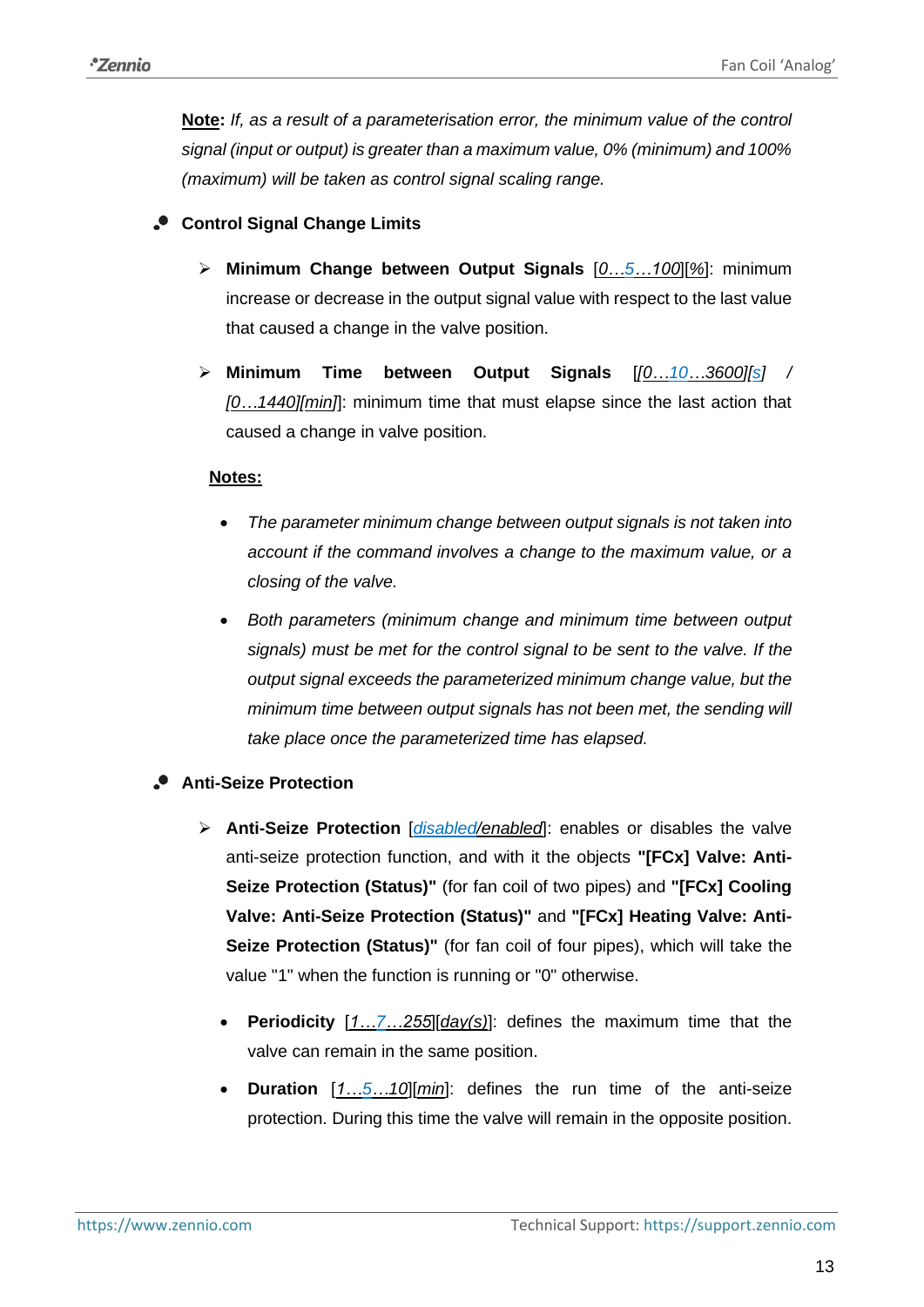**Note:** *If, as a result of a parameterisation error, the minimum value of the control signal (input or output) is greater than a maximum value, 0% (minimum) and 100% (maximum) will be taken as control signal scaling range.*

## **Control Signal Change Limits**

- ➢ **Minimum Change between Output Signals** [*0…5…100*][*%*]: minimum increase or decrease in the output signal value with respect to the last value that caused a change in the valve position.
- ➢ **Minimum Time between Output Signals** [*[0…10…3600][s] / [0…1440][min]*]: minimum time that must elapse since the last action that caused a change in valve position.

## **Notes:**

- *The parameter minimum change between output signals is not taken into account if the command involves a change to the maximum value, or a closing of the valve.*
- *Both parameters (minimum change and minimum time between output signals) must be met for the control signal to be sent to the valve. If the output signal exceeds the parameterized minimum change value, but the minimum time between output signals has not been met, the sending will take place once the parameterized time has elapsed.*

## **Anti-Seize Protection**

- ➢ **Anti-Seize Protection** [*disabled/enabled*]: enables or disables the valve anti-seize protection function, and with it the objects **"[FCx] Valve: Anti-Seize Protection (Status)"** (for fan coil of two pipes) and **"[FCx] Cooling Valve: Anti-Seize Protection (Status)"** and **"[FCx] Heating Valve: Anti-Seize Protection (Status)"** (for fan coil of four pipes), which will take the value "1" when the function is running or "0" otherwise.
	- **Periodicity** [*1…7…255*][*day(s)*]: defines the maximum time that the valve can remain in the same position.
	- **Duration** [*1…5…10*][*min*]: defines the run time of the anti-seize protection. During this time the valve will remain in the opposite position.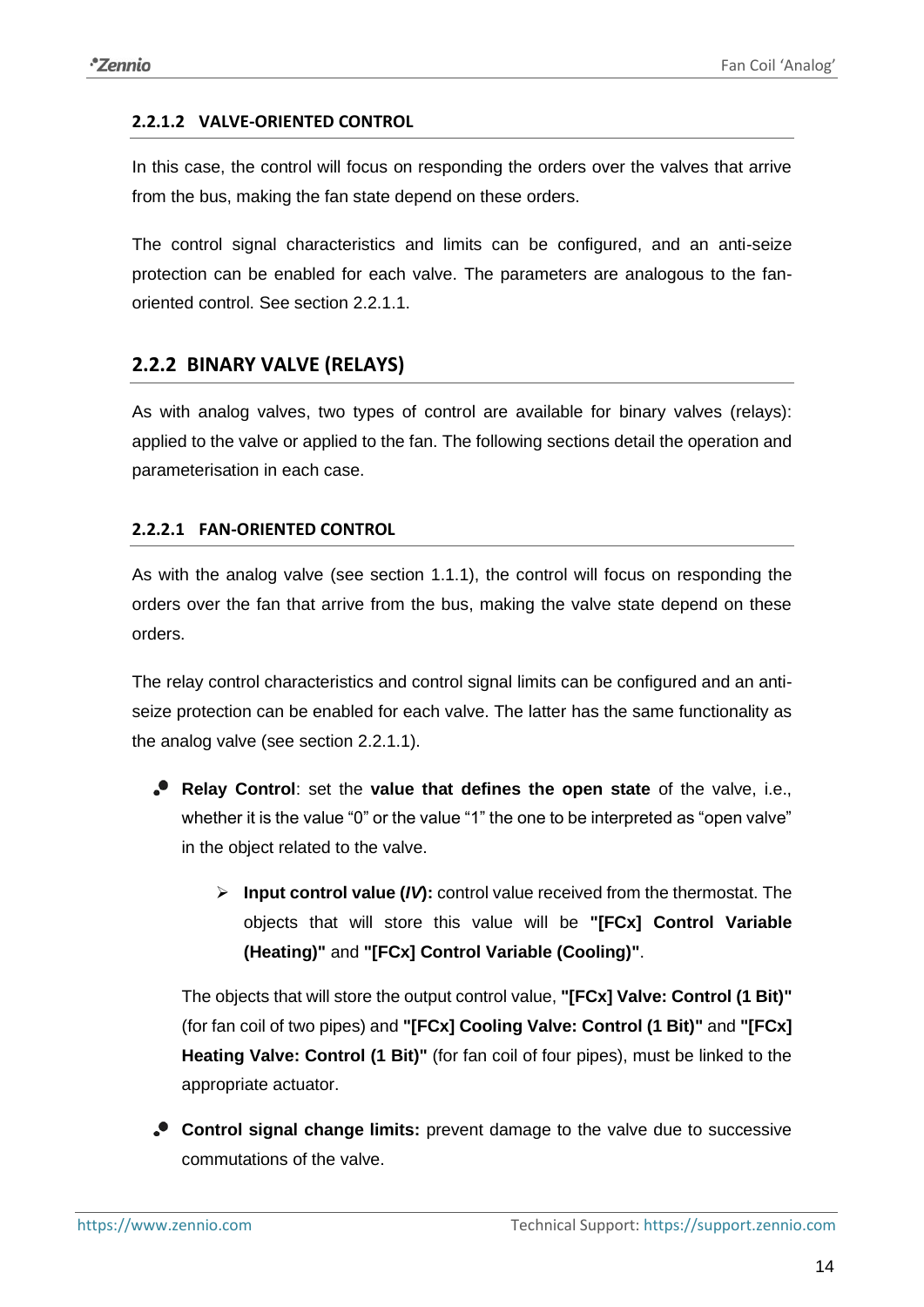### <span id="page-13-1"></span>**2.2.1.2 VALVE-ORIENTED CONTROL**

In this case, the control will focus on responding the orders over the valves that arrive from the bus, making the fan state depend on these orders.

The control signal characteristics and limits can be configured, and an anti-seize protection can be enabled for each valve. The parameters are analogous to the fanoriented control. See section [2.2.1.1.](#page-8-1)

## <span id="page-13-0"></span>**2.2.2 BINARY VALVE (RELAYS)**

As with analog valves, two types of control are available for binary valves (relays): applied to the valve or applied to the fan. The following sections detail the operation and parameterisation in each case.

## <span id="page-13-2"></span>**2.2.2.1 FAN-ORIENTED CONTROL**

As with the analog valve (see section [1.1.1\)](#page-8-2), the control will focus on responding the orders over the fan that arrive from the bus, making the valve state depend on these orders.

The relay control characteristics and control signal limits can be configured and an antiseize protection can be enabled for each valve. The latter has the same functionality as the analog valve (see section [2.2.1.1\)](#page-8-1).

- **Relay Control**: set the **value that defines the open state** of the valve, i.e., whether it is the value "0" or the value "1" the one to be interpreted as "open valve" in the object related to the valve.
	- ➢ **Input control value (***IV***):** control value received from the thermostat. The objects that will store this value will be **"[FCx] Control Variable (Heating)"** and **"[FCx] Control Variable (Cooling)"**.

The objects that will store the output control value, **"[FCx] Valve: Control (1 Bit)"** (for fan coil of two pipes) and **"[FCx] Cooling Valve: Control (1 Bit)"** and **"[FCx] Heating Valve: Control (1 Bit)"** (for fan coil of four pipes), must be linked to the appropriate actuator.

**Control signal change limits:** prevent damage to the valve due to successive commutations of the valve.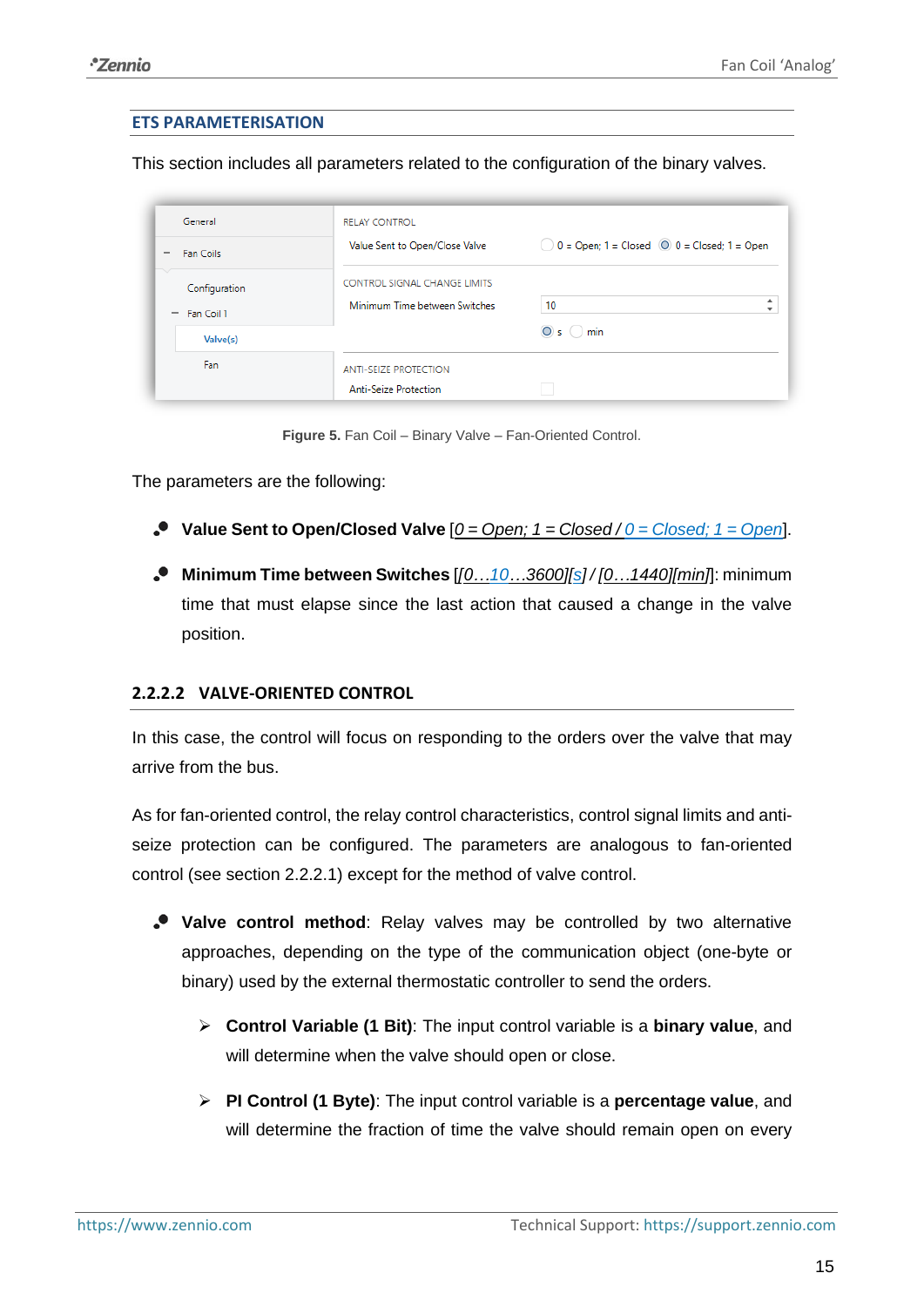#### **ETS PARAMETERISATION**

This section includes all parameters related to the configuration of the binary valves.

| General                                                      | <b>RELAY CONTROL</b>                                                 |                                                                 |
|--------------------------------------------------------------|----------------------------------------------------------------------|-----------------------------------------------------------------|
| Fan Coils<br>$\overline{\phantom{a}}$                        | Value Sent to Open/Close Valve                                       | $\bigcirc$ 0 = Open; 1 = Closed $\bigcirc$ 0 = Closed; 1 = Open |
| ▽<br>Configuration<br>Fan Coil 1<br>$\overline{\phantom{a}}$ | <b>CONTROL SIGNAL CHANGE LIMITS</b><br>Minimum Time between Switches | ۰<br>10                                                         |
| Valve(s)                                                     |                                                                      | $\circ$ s $\circ$ min                                           |
| Fan                                                          | <b>ANTI-SEIZE PROTECTION</b><br><b>Anti-Seize Protection</b>         |                                                                 |

**Figure 5.** Fan Coil – Binary Valve – Fan-Oriented Control.

The parameters are the following:

- **Value Sent to Open/Closed Valve** [*0 = Open; 1 = Closed / 0 = Closed; 1 = Open*].
- **Minimum Time between Switches** [*[0…10…3600][s] / [0…1440][min]*]: minimum time that must elapse since the last action that caused a change in the valve position.

#### <span id="page-14-0"></span>**2.2.2.2 VALVE-ORIENTED CONTROL**

In this case, the control will focus on responding to the orders over the valve that may arrive from the bus.

As for fan-oriented control, the relay control characteristics, control signal limits and antiseize protection can be configured. The parameters are analogous to fan-oriented control (see section [2.2.2.1\)](#page-13-2) except for the method of valve control.

- **Valve control method**: Relay valves may be controlled by two alternative approaches, depending on the type of the communication object (one-byte or binary) used by the external thermostatic controller to send the orders.
	- ➢ **Control Variable (1 Bit)**: The input control variable is a **binary value**, and will determine when the valve should open or close.
	- ➢ **PI Control (1 Byte)**: The input control variable is a **percentage value**, and will determine the fraction of time the valve should remain open on every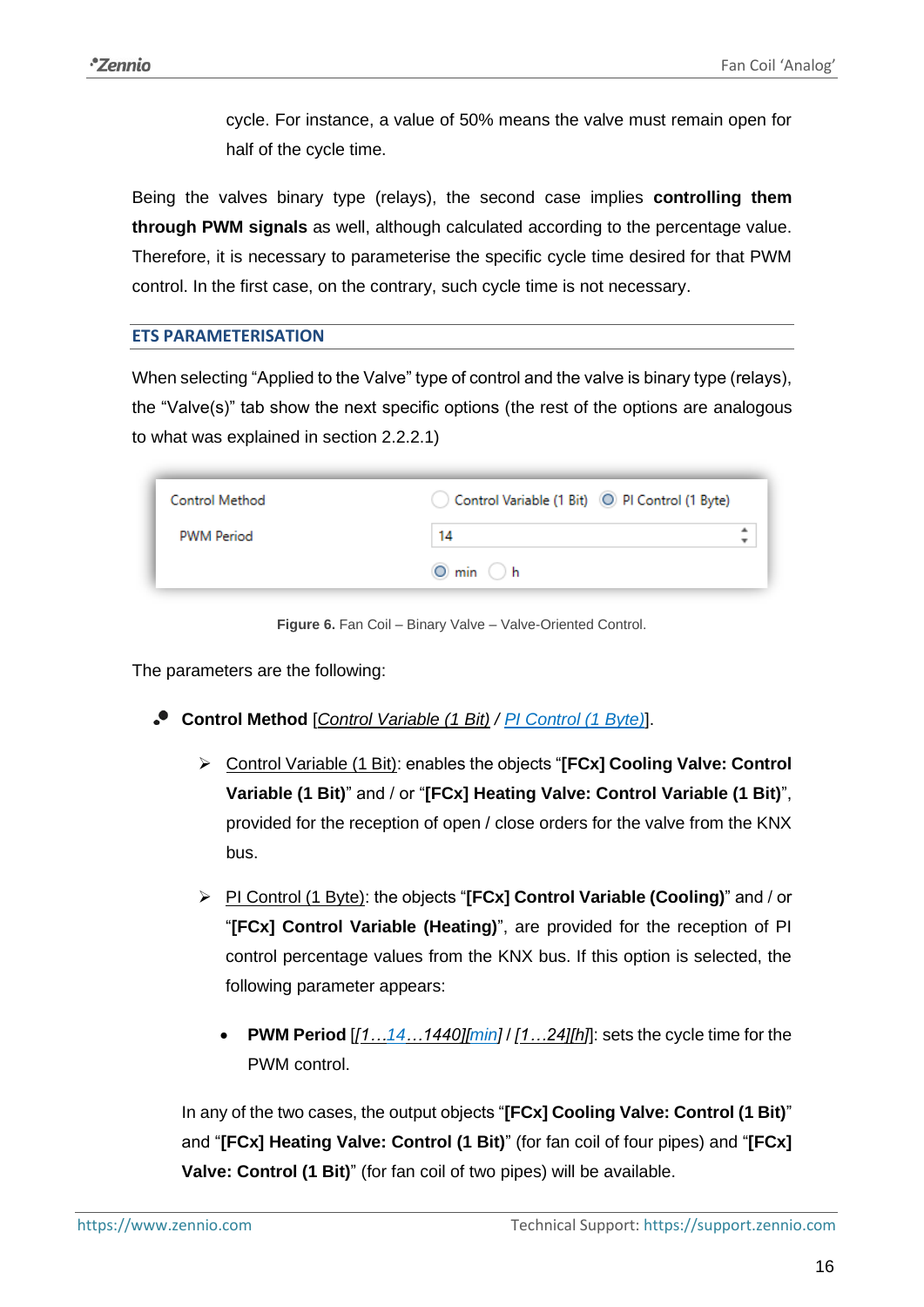cycle. For instance, a value of 50% means the valve must remain open for half of the cycle time.

Being the valves binary type (relays), the second case implies **controlling them through PWM signals** as well, although calculated according to the percentage value. Therefore, it is necessary to parameterise the specific cycle time desired for that PWM control. In the first case, on the contrary, such cycle time is not necessary.

#### **ETS PARAMETERISATION**

When selecting "Applied to the Valve" type of control and the valve is binary type (relays), the "Valve(s)" tab show the next specific options (the rest of the options are analogous to what was explained in section [2.2.2.1\)](#page-13-2)

| Control Method    | Control Variable (1 Bit) O PI Control (1 Byte) |   |
|-------------------|------------------------------------------------|---|
| <b>PWM Period</b> | 14                                             | ٠ |
|                   | $\odot$ min $\odot$ h                          |   |

**Figure 6.** Fan Coil – Binary Valve – Valve-Oriented Control.

The parameters are the following:

- **Control Method** [*Control Variable (1 Bit) / PI Control (1 Byte)*].
	- ➢ Control Variable (1 Bit): enables the objects "**[FCx] Cooling Valve: Control Variable (1 Bit)**" and / or "**[FCx] Heating Valve: Control Variable (1 Bit)**", provided for the reception of open / close orders for the valve from the KNX bus.
	- ➢ PI Control (1 Byte): the objects "**[FCx] Control Variable (Cooling)**" and / or "**[FCx] Control Variable (Heating)**", are provided for the reception of PI control percentage values from the KNX bus. If this option is selected, the following parameter appears:
		- **PWM Period** [*[1…14…1440][min]* / *[1…24][h]*]: sets the cycle time for the PWM control.

In any of the two cases, the output objects "**[FCx] Cooling Valve: Control (1 Bit)**" and "**[FCx] Heating Valve: Control (1 Bit)**" (for fan coil of four pipes) and "**[FCx] Valve: Control (1 Bit)**" (for fan coil of two pipes) will be available.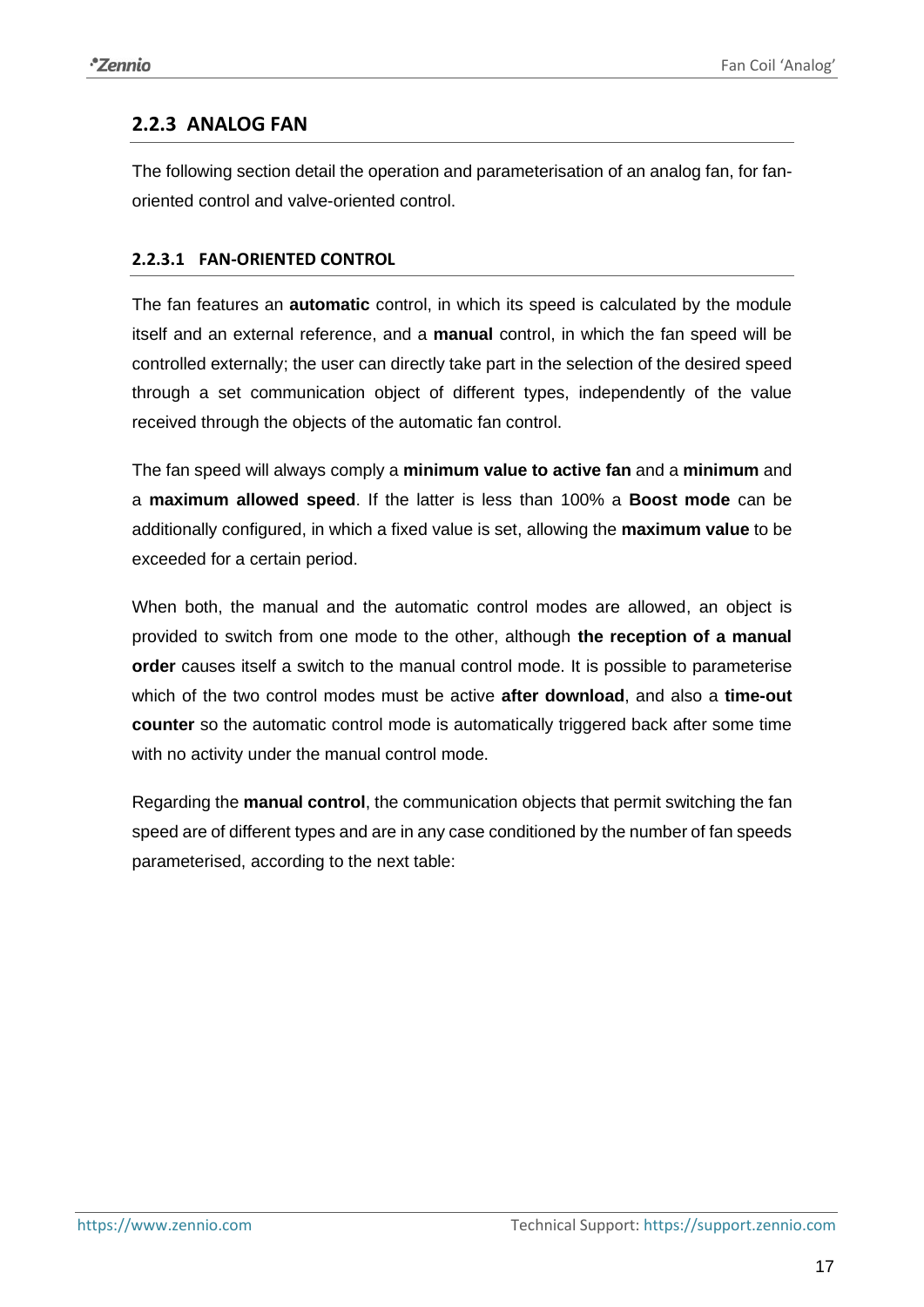## <span id="page-16-0"></span>**2.2.3 ANALOG FAN**

The following section detail the operation and parameterisation of an analog fan, for fanoriented control and valve-oriented control.

## <span id="page-16-1"></span>**2.2.3.1 FAN-ORIENTED CONTROL**

The fan features an **automatic** control, in which its speed is calculated by the module itself and an external reference, and a **manual** control, in which the fan speed will be controlled externally; the user can directly take part in the selection of the desired speed through a set communication object of different types, independently of the value received through the objects of the automatic fan control.

The fan speed will always comply a **minimum value to active fan** and a **minimum** and a **maximum allowed speed**. If the latter is less than 100% a **Boost mode** can be additionally configured, in which a fixed value is set, allowing the **maximum value** to be exceeded for a certain period.

When both, the manual and the automatic control modes are allowed, an object is provided to switch from one mode to the other, although **the reception of a manual order** causes itself a switch to the manual control mode. It is possible to parameterise which of the two control modes must be active **after download**, and also a **time-out counter** so the automatic control mode is automatically triggered back after some time with no activity under the manual control mode.

Regarding the **manual control**, the communication objects that permit switching the fan speed are of different types and are in any case conditioned by the number of fan speeds parameterised, according to the next table: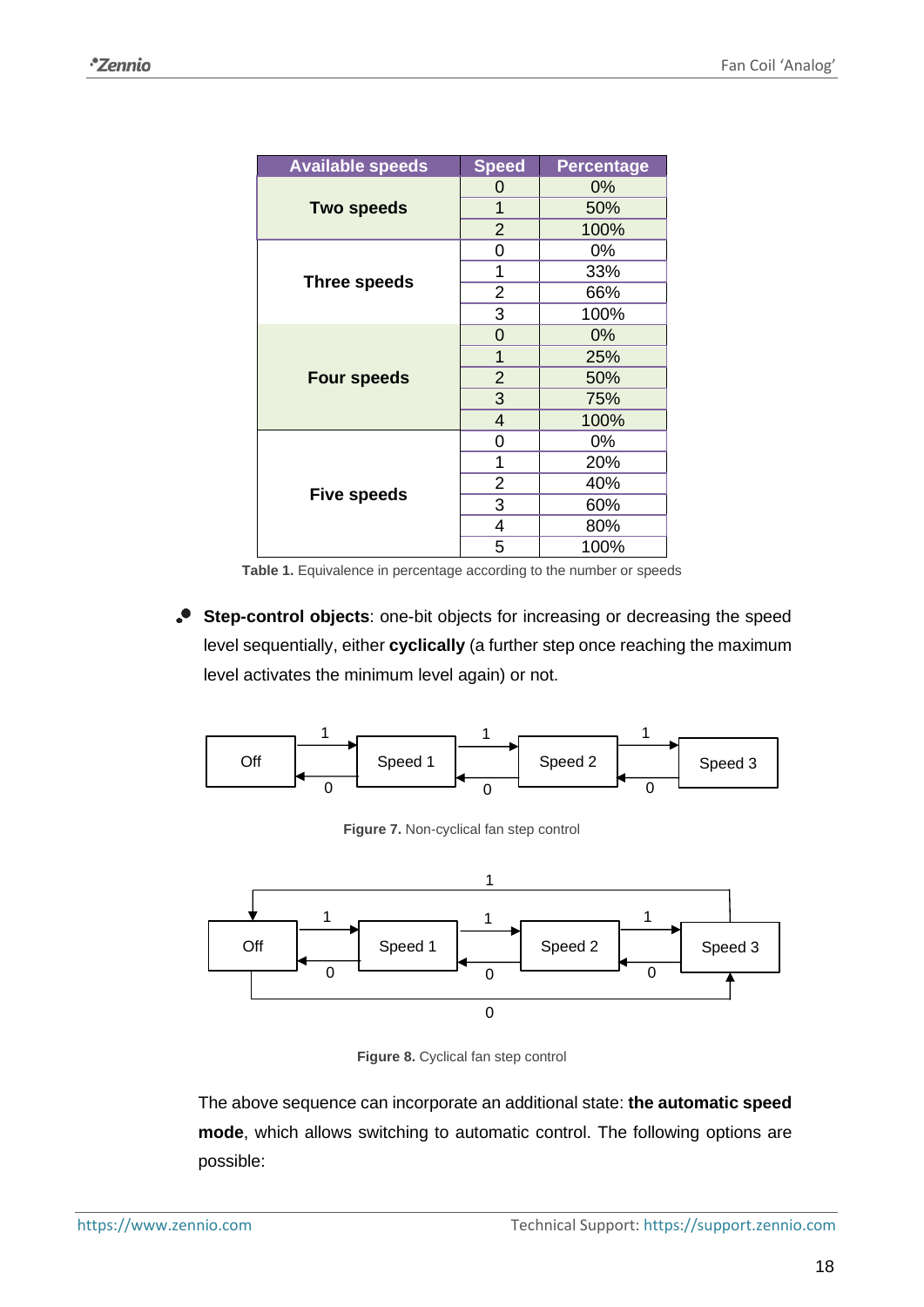| <b>Available speeds</b> | <b>Speed</b>   | <b>Percentage</b> |
|-------------------------|----------------|-------------------|
|                         | 0              | 0%                |
| <b>Two speeds</b>       | 1              | 50%               |
|                         | $\overline{2}$ | 100%              |
|                         | 0              | 0%                |
| <b>Three speeds</b>     | 1              | 33%               |
|                         | 2              | 66%               |
|                         | 3              | 100%              |
|                         | $\overline{0}$ | 0%                |
|                         | 1              | 25%               |
| <b>Four speeds</b>      | $\overline{2}$ | 50%               |
|                         | 3              | 75%               |
|                         | $\overline{4}$ | 100%              |
|                         | 0              | 0%                |
|                         | 1              | 20%               |
| <b>Five speeds</b>      | 2              | 40%               |
|                         | 3              | 60%               |
|                         | 4              | 80%               |
|                         | 5              | 100%              |

Table 1. Equivalence in percentage according to the number or speeds

<span id="page-17-0"></span>**Step-control objects**: one-bit objects for increasing or decreasing the speed level sequentially, either **cyclically** (a further step once reaching the maximum level activates the minimum level again) or not.









The above sequence can incorporate an additional state: **the automatic speed mode**, which allows switching to automatic control. The following options are possible: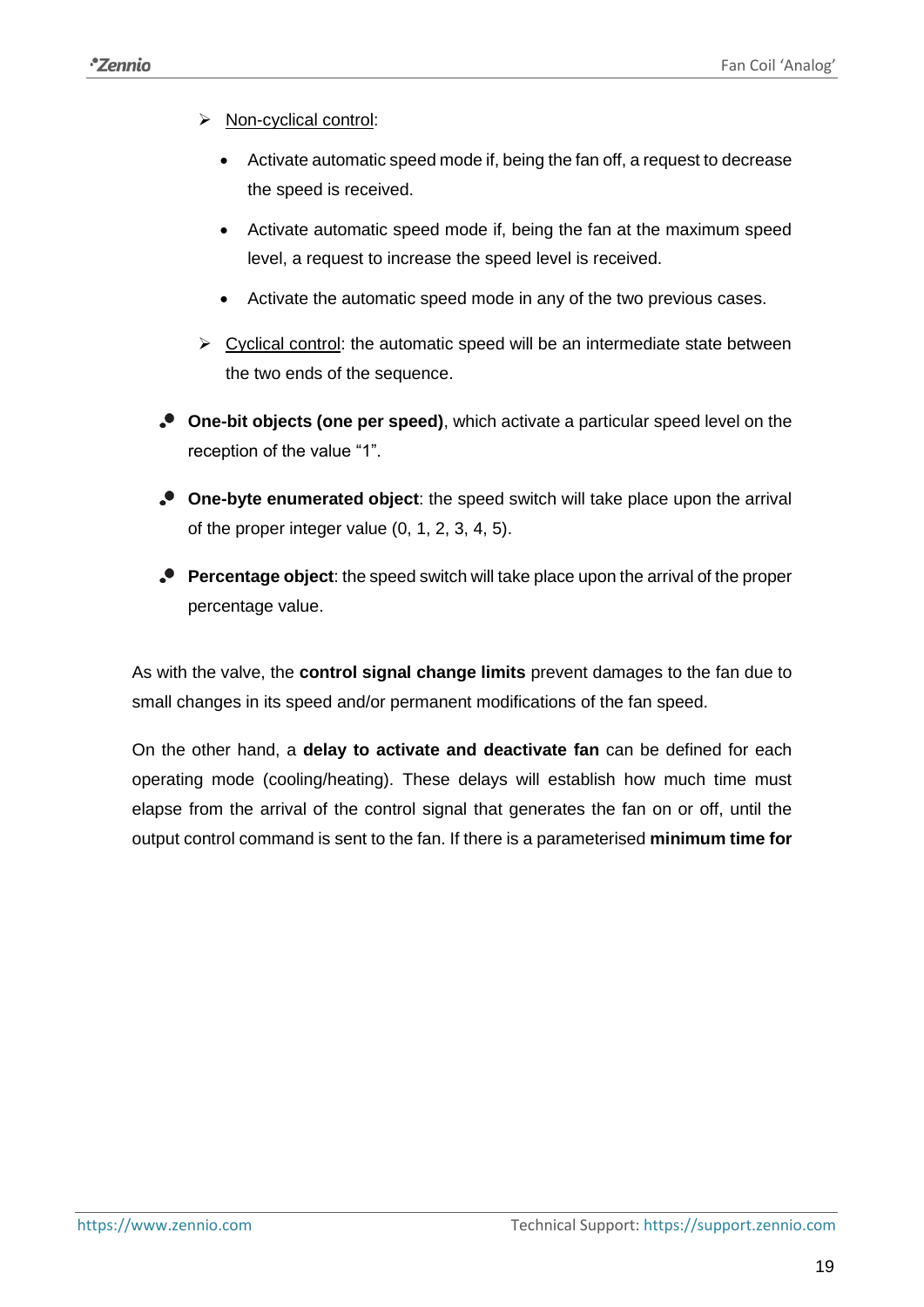- ➢ Non-cyclical control:
	- Activate automatic speed mode if, being the fan off, a request to decrease the speed is received.
	- Activate automatic speed mode if, being the fan at the maximum speed level, a request to increase the speed level is received.
	- Activate the automatic speed mode in any of the two previous cases.
- $\triangleright$  Cyclical control: the automatic speed will be an intermediate state between the two ends of the sequence.
- **One-bit objects (one per speed)**, which activate a particular speed level on the reception of the value "1".
- **One-byte enumerated object**: the speed switch will take place upon the arrival of the proper integer value (0, 1, 2, 3, 4, 5).
- **Percentage object**: the speed switch will take place upon the arrival of the proper percentage value.

As with the valve, the **control signal change limits** prevent damages to the fan due to small changes in its speed and/or permanent modifications of the fan speed.

On the other hand, a **delay to activate and deactivate fan** can be defined for each operating mode (cooling/heating). These delays will establish how much time must elapse from the arrival of the control signal that generates the fan on or off, until the output control command is sent to the fan. If there is a parameterised **minimum time for**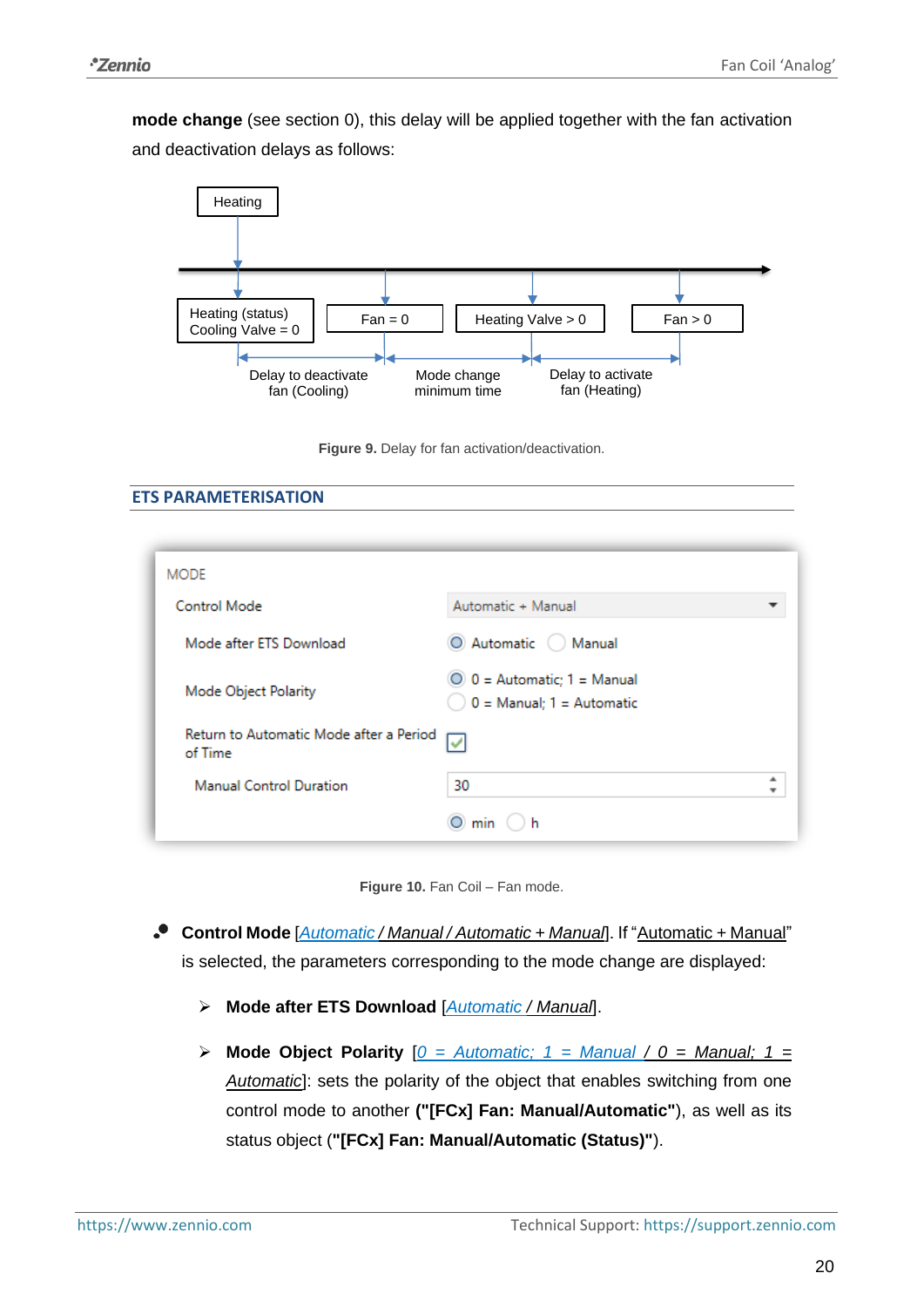**mode change** (see section [0\)](#page-4-2), this delay will be applied together with the fan activation and deactivation delays as follows:



**Figure 9.** Delay for fan activation/deactivation.

**ETS PARAMETERISATION**

| <b>MODE</b>                                        |                                                              |
|----------------------------------------------------|--------------------------------------------------------------|
| Control Mode                                       | Automatic + Manual                                           |
| Mode after ETS Download                            | O Automatic   Manual                                         |
| Mode Object Polarity                               | $0 =$ Automatic; 1 = Manual<br>$0 =$ Manual; $1 =$ Automatic |
| Return to Automatic Mode after a Period<br>of Time | ✓                                                            |
| <b>Manual Control Duration</b>                     | 30                                                           |
|                                                    | ) h<br>min                                                   |



- **Control Mode** [*Automatic / Manual / Automatic + Manual*]. If "Automatic + Manual" is selected, the parameters corresponding to the mode change are displayed:
	- ➢ **Mode after ETS Download** [*Automatic / Manual*].
	- ➢ **Mode Object Polarity** [*0 = Automatic; 1 = Manual / 0 = Manual; 1 = Automatic*]: sets the polarity of the object that enables switching from one control mode to another **("[FCx] Fan: Manual/Automatic"**), as well as its status object (**"[FCx] Fan: Manual/Automatic (Status)"**).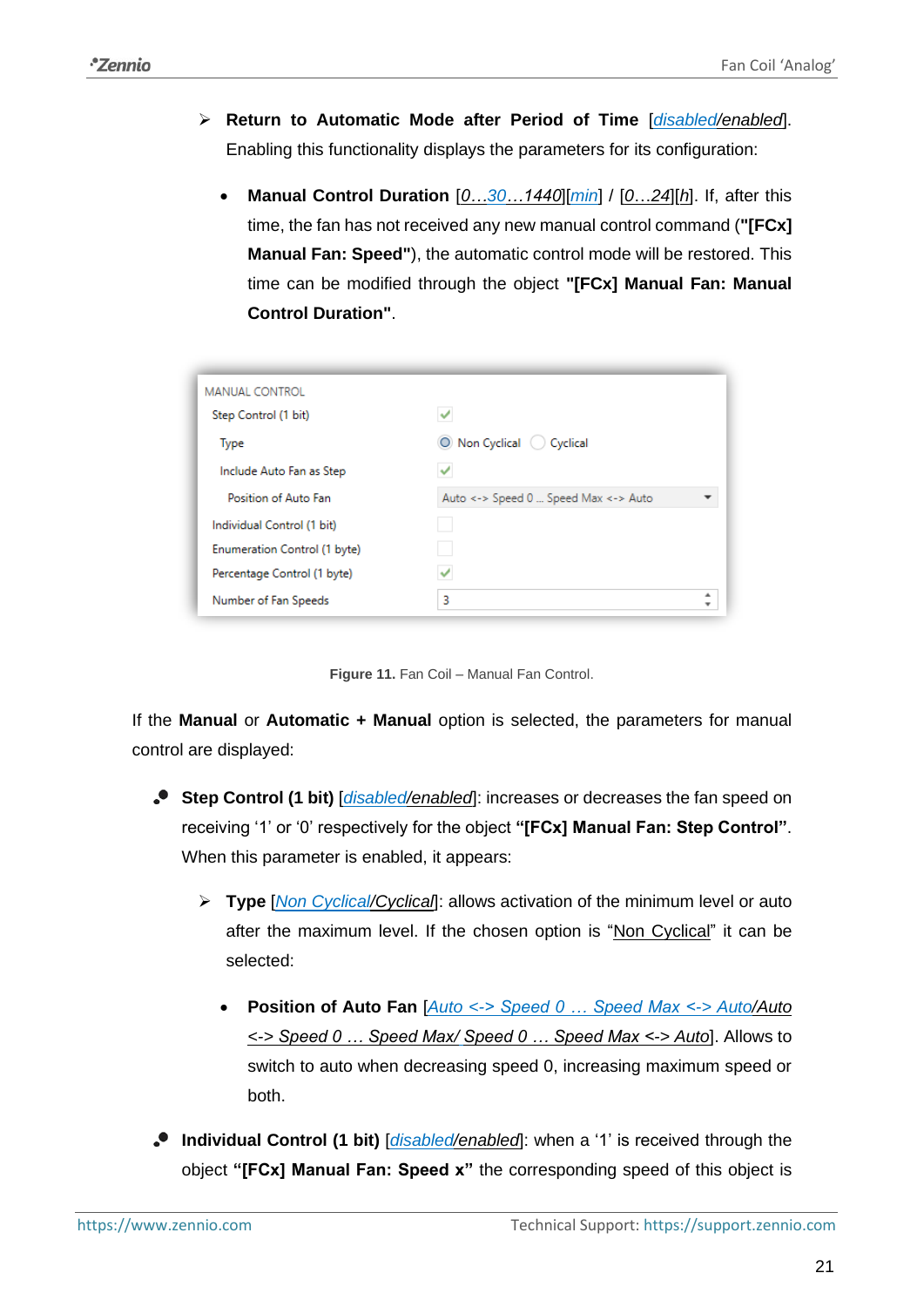- ➢ **Return to Automatic Mode after Period of Time** [*disabled/enabled*]. Enabling this functionality displays the parameters for its configuration:
	- **Manual Control Duration** [*0…30…1440*][*min*] / [*0*…*24*][*h*]. If, after this time, the fan has not received any new manual control command (**"[FCx] Manual Fan: Speed"**), the automatic control mode will be restored. This time can be modified through the object **"[FCx] Manual Fan: Manual Control Duration"**.

| <b>MANUAL CONTROL</b>        |                                      |   |
|------------------------------|--------------------------------------|---|
| Step Control (1 bit)         | $\checkmark$                         |   |
| <b>Type</b>                  | O Non Cyclical C Cyclical            |   |
| Include Auto Fan as Step     |                                      |   |
| Position of Auto Fan         | Auto <-> Speed 0  Speed Max <-> Auto |   |
| Individual Control (1 bit)   |                                      |   |
| Enumeration Control (1 byte) |                                      |   |
| Percentage Control (1 byte)  |                                      |   |
| Number of Fan Speeds         | 3                                    | ▲ |



If the **Manual** or **Automatic + Manual** option is selected, the parameters for manual control are displayed:

- **Step Control (1 bit)**  $\frac{1}{\text{disabled/enabled}}$ : increases or decreases the fan speed on receiving '1' or '0' respectively for the object **"[FCx] Manual Fan: Step Control"**. When this parameter is enabled, it appears:
	- ➢ **Type** [*Non Cyclical/Cyclical*]: allows activation of the minimum level or auto after the maximum level. If the chosen option is "Non Cyclical" it can be selected:
		- **Position of Auto Fan** [*Auto <-> Speed 0 … Speed Max <-> Auto/Auto <-> Speed 0 … Speed Max/ Speed 0 … Speed Max <-> Auto*]. Allows to switch to auto when decreasing speed 0, increasing maximum speed or both.
- **Individual Control (1 bit)** [*disabled/enabled*]: when a '1' is received through the object **"[FCx] Manual Fan: Speed x"** the corresponding speed of this object is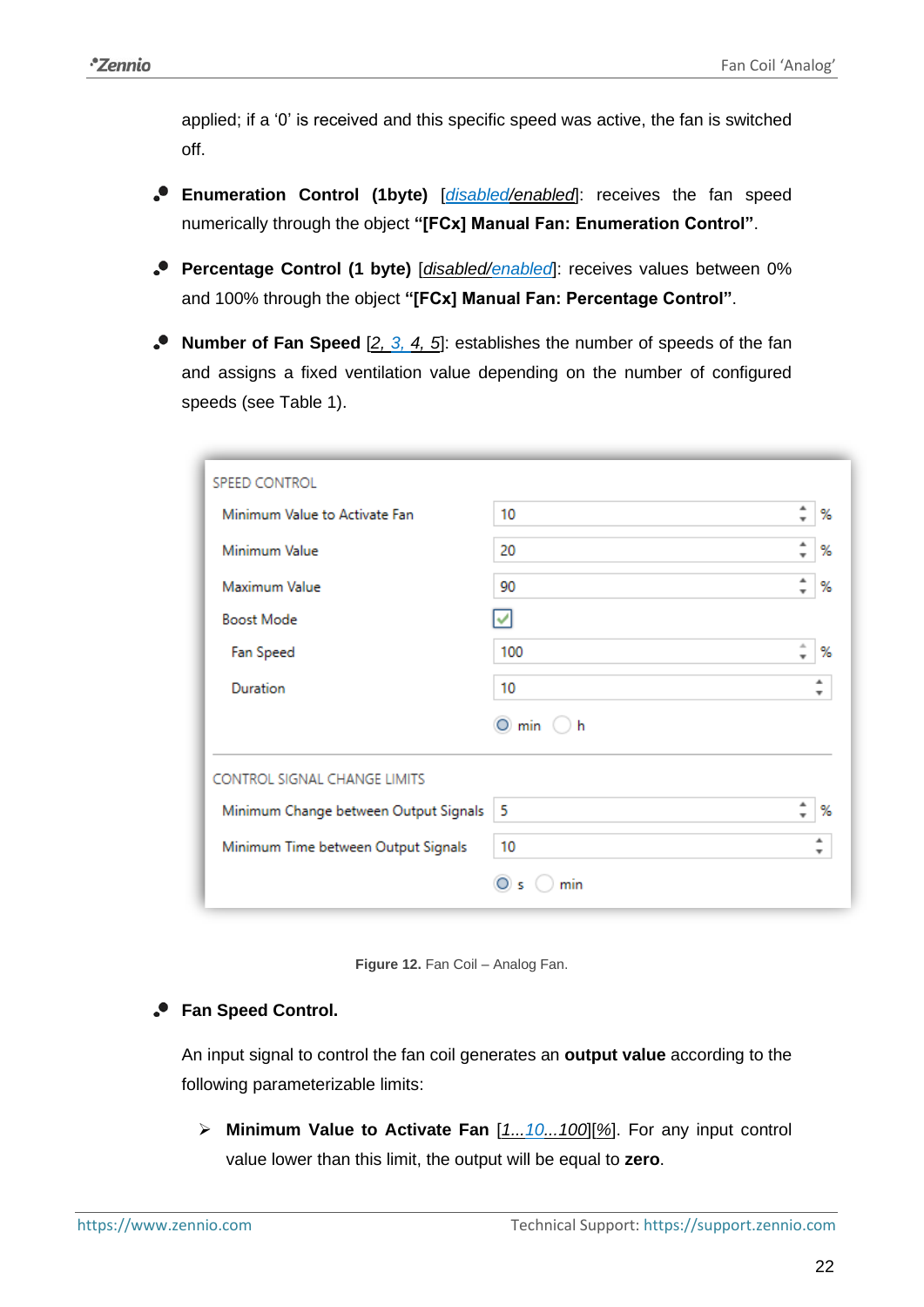applied; if a '0' is received and this specific speed was active, the fan is switched off.

- **Enumeration Control (1byte)** [*disabled/enabled*]: receives the fan speed numerically through the object **"[FCx] Manual Fan: Enumeration Control"**.
- **Percentage Control (1 byte)** [*disabled/enabled*]: receives values between 0% and 100% through the object **"[FCx] Manual Fan: Percentage Control"**.
- **Number of Fan Speed** [*2, 3, 4, 5*]: establishes the number of speeds of the fan and assigns a fixed ventilation value depending on the number of configured speeds (see [Table 1\)](#page-17-0).

| SPEED CONTROL                         |               |                               |        |
|---------------------------------------|---------------|-------------------------------|--------|
| Minimum Value to Activate Fan         | 10            | ۰<br>$\mathbf{r}$             | %      |
| Minimum Value                         | 20            | ዹ<br>$\overline{\phantom{a}}$ | %      |
| Maximum Value                         | 90            | ۸<br>$\overline{\phantom{a}}$ | %      |
| <b>Boost Mode</b>                     | ے             |                               |        |
| Fan Speed                             | 100           | A<br>$\overline{\phantom{a}}$ | %      |
| Duration                              | 10            |                               | ۰<br>v |
|                                       | 0<br>min<br>h |                               |        |
| CONTROL SIGNAL CHANGE LIMITS          |               |                               |        |
| Minimum Change between Output Signals | 5             | ۰<br>$\cdot$                  | %      |
| Minimum Time between Output Signals   | 10            |                               | ┻<br>v |
|                                       | min           |                               |        |

**Figure 12.** Fan Coil – Analog Fan.

## **Fan Speed Control.**

An input signal to control the fan coil generates an **output value** according to the following parameterizable limits:

➢ **Minimum Value to Activate Fan** [*1...10...100*][*%*]. For any input control value lower than this limit, the output will be equal to **zero**.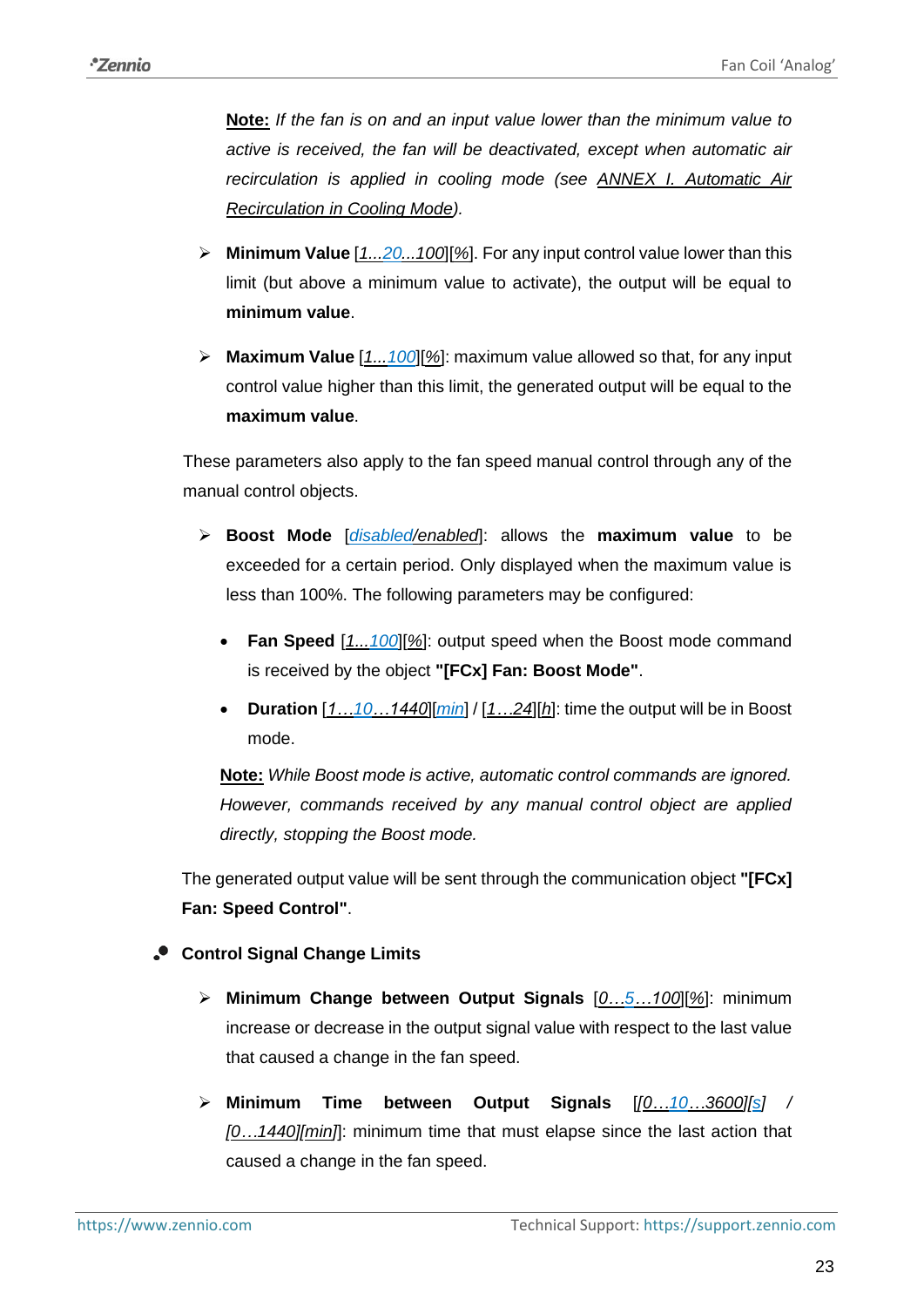**Note:** *If the fan is on and an input value lower than the minimum value to active is received, the fan will be deactivated, except when automatic air recirculation is applied in cooling mode (see [ANNEX I. Automatic Air](#page-35-0)  [Recirculation in Cooling Mode\)](#page-35-0).*

- ➢ **Minimum Value** [*1...20...100*][*%*]. For any input control value lower than this limit (but above a minimum value to activate), the output will be equal to **minimum value**.
- ➢ **Maximum Value** [*1...100*][*%*]: maximum value allowed so that, for any input control value higher than this limit, the generated output will be equal to the **maximum value**.

These parameters also apply to the fan speed manual control through any of the manual control objects.

- ➢ **Boost Mode** [*disabled/enabled*]: allows the **maximum value** to be exceeded for a certain period. Only displayed when the maximum value is less than 100%. The following parameters may be configured:
	- **Fan Speed** [*1...100*][*%*]: output speed when the Boost mode command is received by the object **"[FCx] Fan: Boost Mode"**.
	- **Duration** [*1…10…1440*][*min*] / [*1…24*][*h*]: time the output will be in Boost mode.

**Note:** *While Boost mode is active, automatic control commands are ignored. However, commands received by any manual control object are applied directly, stopping the Boost mode.*

The generated output value will be sent through the communication object **"[FCx] Fan: Speed Control"**.

## **Control Signal Change Limits**

- ➢ **Minimum Change between Output Signals** [*0…5…100*][*%*]: minimum increase or decrease in the output signal value with respect to the last value that caused a change in the fan speed.
- ➢ **Minimum Time between Output Signals** [*[0…10…3600][s] / [0…1440][min]*]: minimum time that must elapse since the last action that caused a change in the fan speed.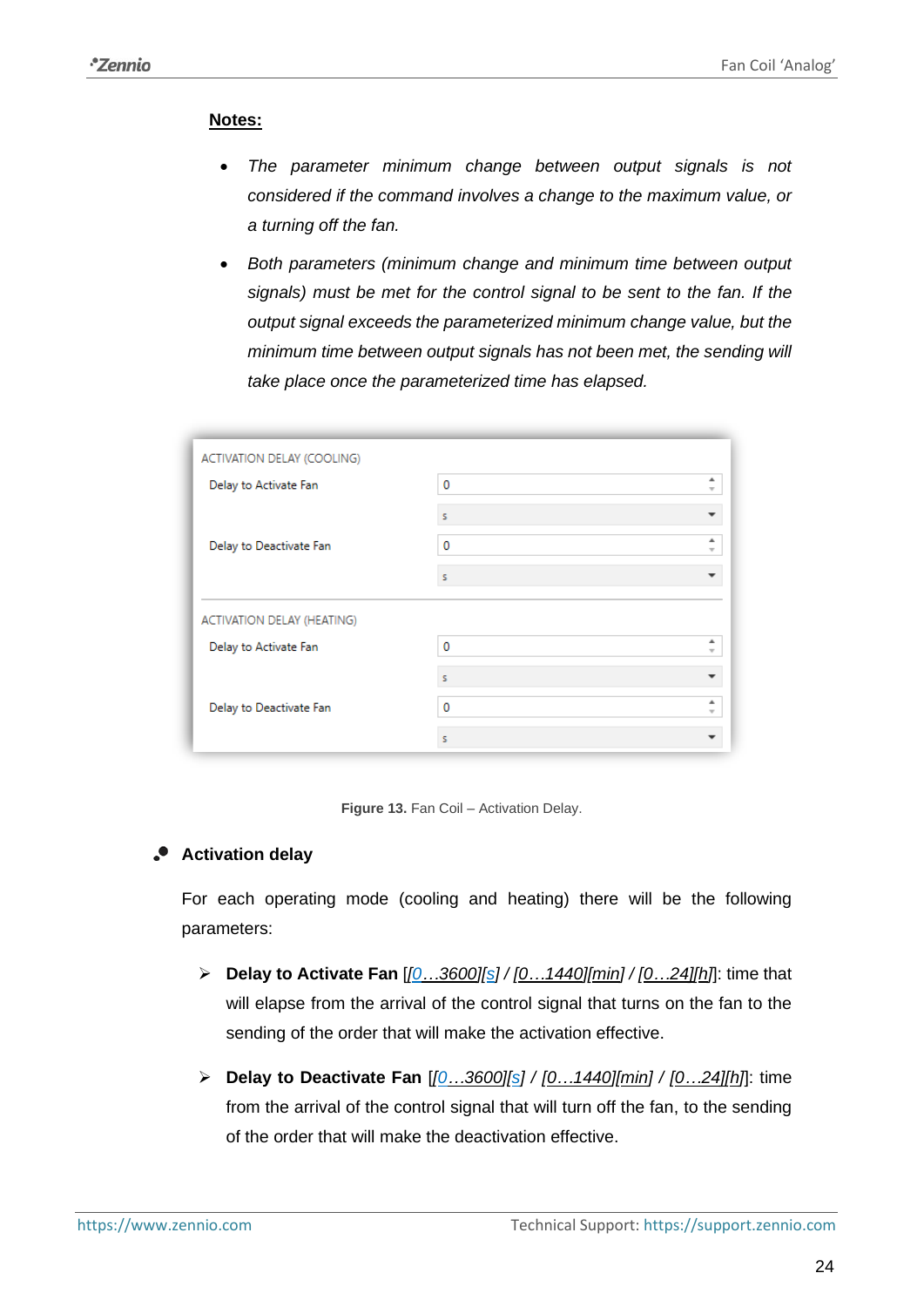## **Notes:**

- *The parameter minimum change between output signals is not considered if the command involves a change to the maximum value, or a turning off the fan.*
- *Both parameters (minimum change and minimum time between output signals) must be met for the control signal to be sent to the fan. If the output signal exceeds the parameterized minimum change value, but the minimum time between output signals has not been met, the sending will take place once the parameterized time has elapsed.*

| ACTIVATION DELAY (COOLING) |                               |  |  |  |
|----------------------------|-------------------------------|--|--|--|
| Delay to Activate Fan      | 0<br>$\overline{\phantom{a}}$ |  |  |  |
|                            | s                             |  |  |  |
| Delay to Deactivate Fan    | 0<br>$\mathbf{v}$             |  |  |  |
|                            | s                             |  |  |  |
| ACTIVATION DELAY (HEATING) |                               |  |  |  |
| Delay to Activate Fan      | 0<br>v                        |  |  |  |
|                            | s                             |  |  |  |
| Delay to Deactivate Fan    | $\Omega$<br>v                 |  |  |  |
|                            | s                             |  |  |  |



## **Activation delay**

For each operating mode (cooling and heating) there will be the following parameters:

- ➢ **Delay to Activate Fan** [*[0…3600][s] / [0…1440][min] / [0…24][h]*]: time that will elapse from the arrival of the control signal that turns on the fan to the sending of the order that will make the activation effective.
- ➢ **Delay to Deactivate Fan** [*[0…3600][s] / [0…1440][min] / [0…24][h]*]: time from the arrival of the control signal that will turn off the fan, to the sending of the order that will make the deactivation effective.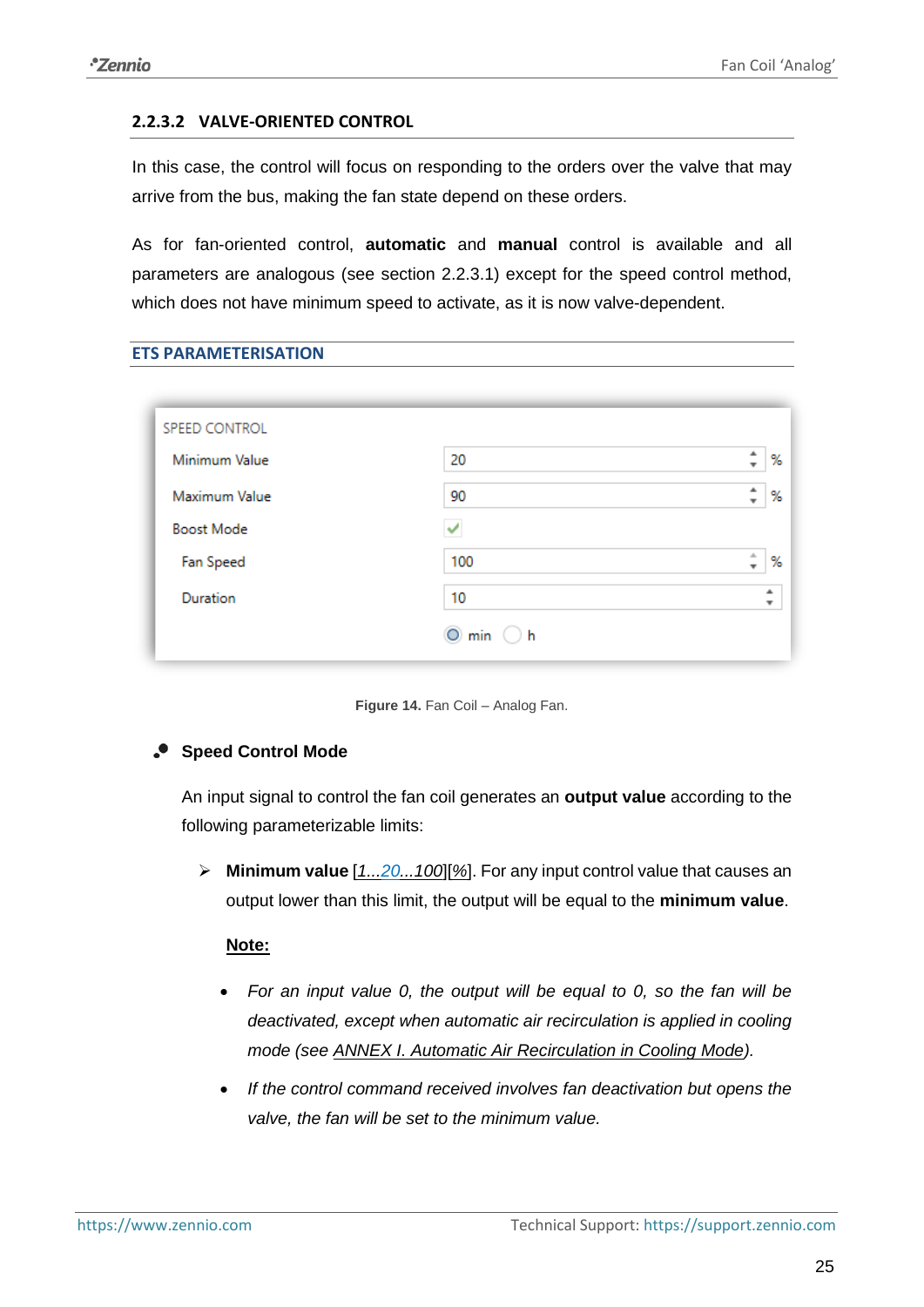#### <span id="page-24-0"></span>**2.2.3.2 VALVE-ORIENTED CONTROL**

In this case, the control will focus on responding to the orders over the valve that may arrive from the bus, making the fan state depend on these orders.

As for fan-oriented control, **automatic** and **manual** control is available and all parameters are analogous (see section [2.2.3.1\)](#page-16-1) except for the speed control method, which does not have minimum speed to activate, as it is now valve-dependent.

| 20                      | %<br>$\overline{\phantom{a}}$      |
|-------------------------|------------------------------------|
| 90                      | ▲<br>%                             |
|                         |                                    |
| 100                     | 上<br>%<br>$\overline{\phantom{a}}$ |
| 10                      | ٠<br>۰                             |
| $O$ min<br>$\bigcirc$ h |                                    |
|                         |                                    |

**Figure 14.** Fan Coil – Analog Fan.

## **Speed Control Mode**

An input signal to control the fan coil generates an **output value** according to the following parameterizable limits:

➢ **Minimum value** [*1...20...100*][*%*]. For any input control value that causes an output lower than this limit, the output will be equal to the **minimum value**.

#### **Note:**

- *For an input value 0, the output will be equal to 0, so the fan will be deactivated, except when automatic air recirculation is applied in cooling mode (see [ANNEX I. Automatic Air Recirculation in Cooling Mode\)](#page-35-0).*
- *If the control command received involves fan deactivation but opens the valve, the fan will be set to the minimum value.*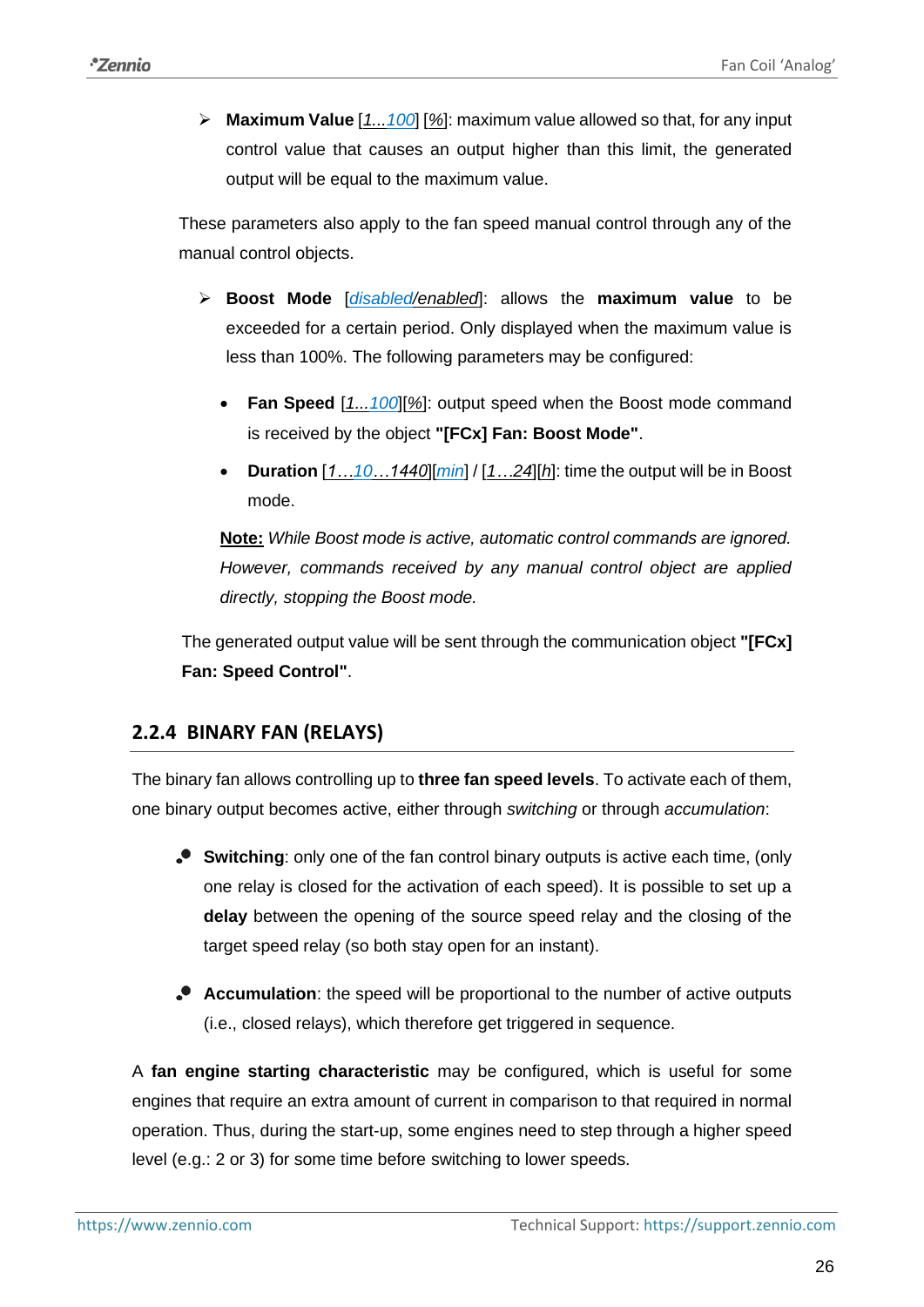➢ **Maximum Value** [*1...100*] [*%*]: maximum value allowed so that, for any input control value that causes an output higher than this limit, the generated output will be equal to the maximum value.

These parameters also apply to the fan speed manual control through any of the manual control objects.

- ➢ **Boost Mode** [*disabled/enabled*]: allows the **maximum value** to be exceeded for a certain period. Only displayed when the maximum value is less than 100%. The following parameters may be configured:
	- **Fan Speed** [*1...100*][*%*]: output speed when the Boost mode command is received by the object **"[FCx] Fan: Boost Mode"**.
	- **Duration** [*1…10…1440*][*min*] / [*1…24*][*h*]: time the output will be in Boost mode.

**Note:** *While Boost mode is active, automatic control commands are ignored. However, commands received by any manual control object are applied directly, stopping the Boost mode.*

The generated output value will be sent through the communication object **"[FCx] Fan: Speed Control"**.

## <span id="page-25-0"></span>**2.2.4 BINARY FAN (RELAYS)**

The binary fan allows controlling up to **three fan speed levels**. To activate each of them, one binary output becomes active, either through *switching* or through *accumulation*:

- **Switching**: only one of the fan control binary outputs is active each time, (only one relay is closed for the activation of each speed). It is possible to set up a **delay** between the opening of the source speed relay and the closing of the target speed relay (so both stay open for an instant).
- **Accumulation**: the speed will be proportional to the number of active outputs (i.e., closed relays), which therefore get triggered in sequence.

A **fan engine starting characteristic** may be configured, which is useful for some engines that require an extra amount of current in comparison to that required in normal operation. Thus, during the start-up, some engines need to step through a higher speed level (e.g.: 2 or 3) for some time before switching to lower speeds.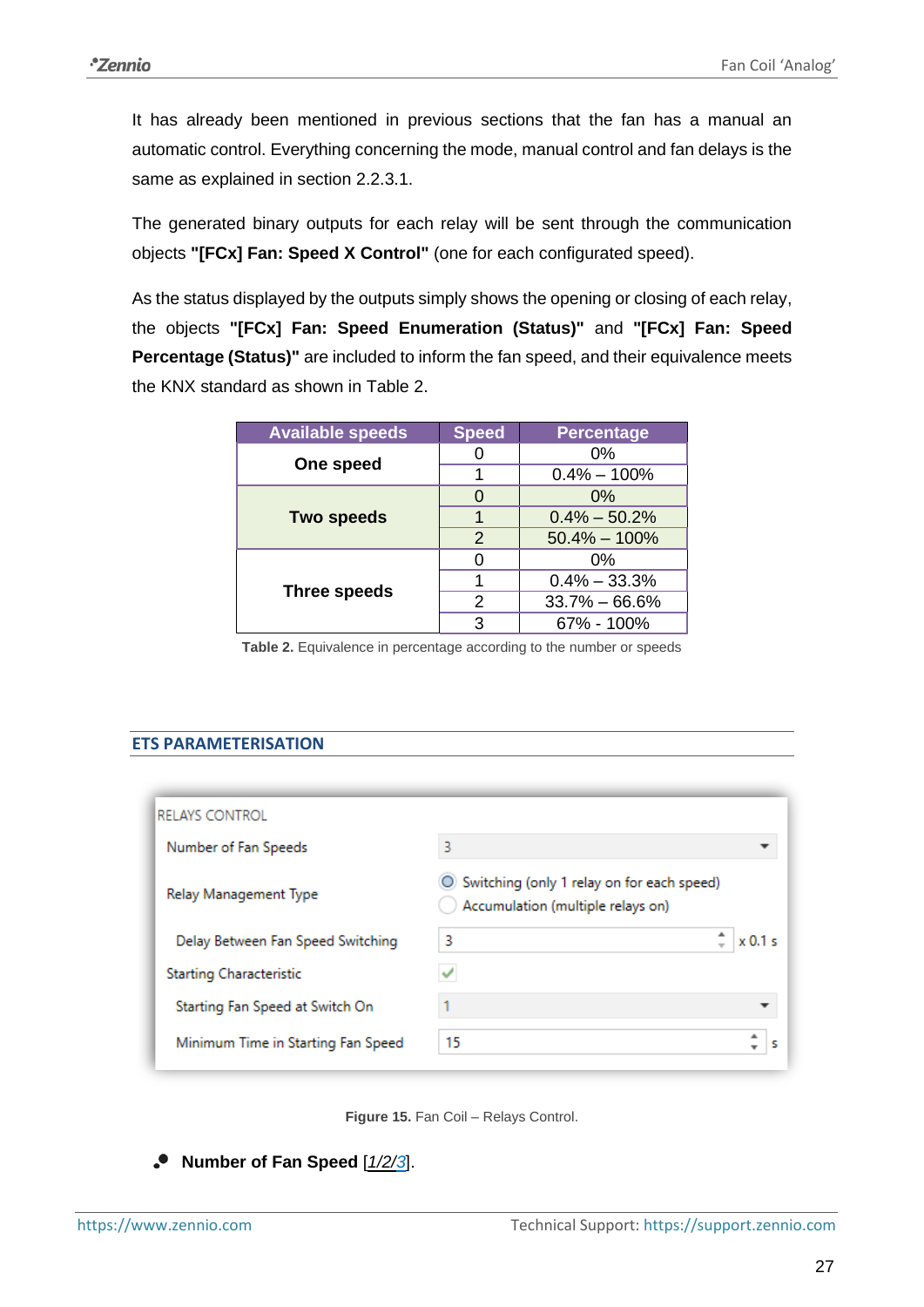It has already been mentioned in previous sections that the fan has a manual an automatic control. Everything concerning the mode, manual control and fan delays is the same as explained in section [2.2.3.1.](#page-16-1)

The generated binary outputs for each relay will be sent through the communication objects **"[FCx] Fan: Speed X Control"** (one for each configurated speed).

As the status displayed by the outputs simply shows the opening or closing of each relay, the objects **"[FCx] Fan: Speed Enumeration (Status)"** and **"[FCx] Fan: Speed Percentage (Status)"** are included to inform the fan speed, and their equivalence meets the KNX standard as shown in [Table 2.](#page-26-0)

| <b>Available speeds</b> | <b>Speed</b>  | <b>Percentage</b> |
|-------------------------|---------------|-------------------|
|                         |               | 0%                |
| One speed               |               | $0.4\% - 100\%$   |
|                         | O             | $0\%$             |
| <b>Two speeds</b>       |               | $0.4\% - 50.2\%$  |
|                         | 2             | $50.4\% - 100\%$  |
|                         | O             | 0%                |
|                         |               | $0.4\% - 33.3\%$  |
| <b>Three speeds</b>     | $\mathcal{P}$ | $33.7\% - 66.6\%$ |
|                         | 3             | 67% - 100%        |

Table 2. Equivalence in percentage according to the number or speeds

## <span id="page-26-0"></span>**ETS PARAMETERISATION**

| <b>RELAYS CONTROL</b>              |                                                                                 |  |
|------------------------------------|---------------------------------------------------------------------------------|--|
| Number of Fan Speeds               | 3                                                                               |  |
| Relay Management Type              | Switching (only 1 relay on for each speed)<br>Accumulation (multiple relays on) |  |
| Delay Between Fan Speed Switching  | 3<br>$\times 0.1 \le$                                                           |  |
| Starting Characteristic            |                                                                                 |  |
| Starting Fan Speed at Switch On    |                                                                                 |  |
| Minimum Time in Starting Fan Speed | 15                                                                              |  |



**Number of Fan Speed** [*1/2/3*].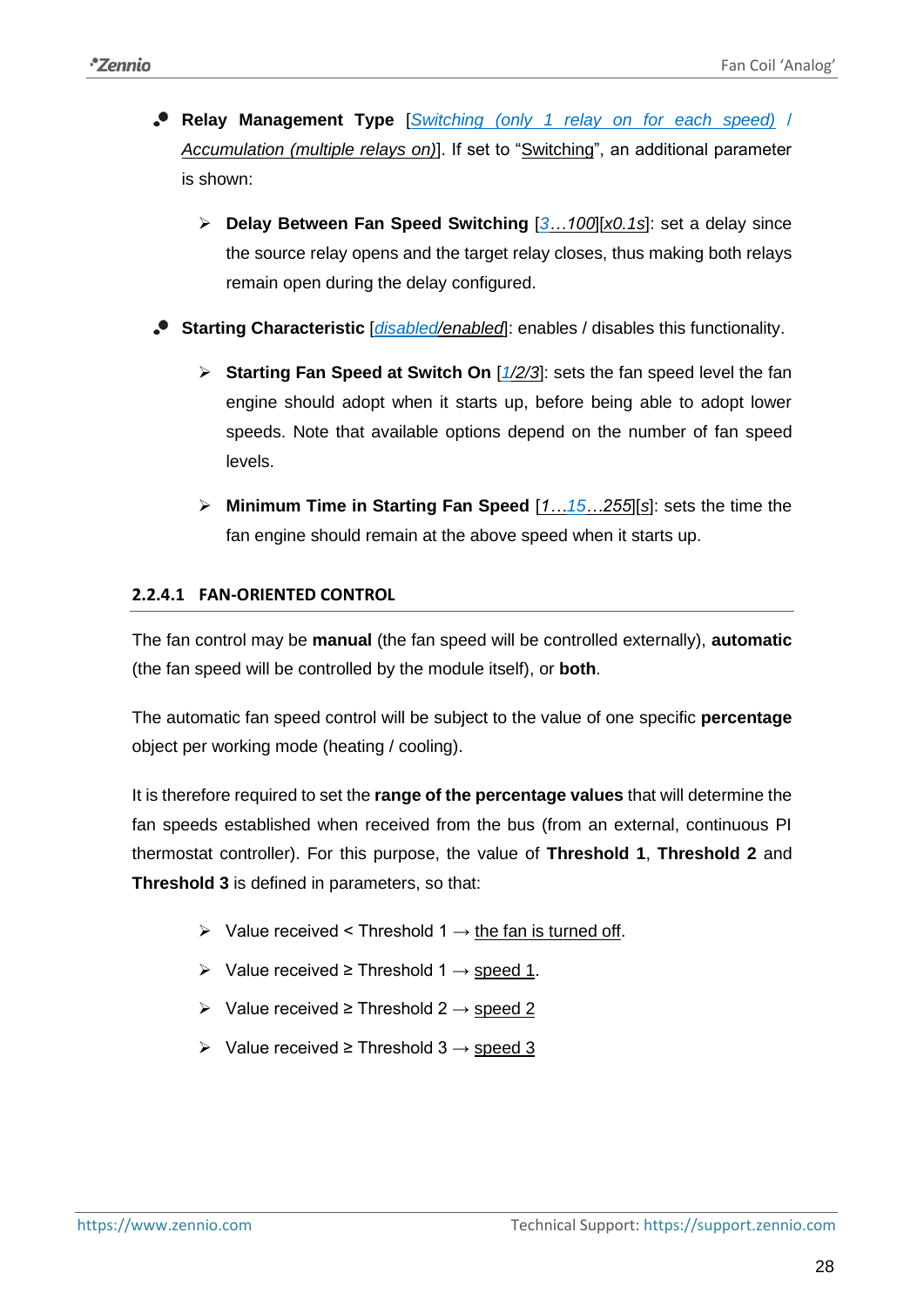- **Relay Management Type** [*Switching (only 1 relay on for each speed)* / *Accumulation (multiple relays on)*]. If set to "Switching", an additional parameter is shown:
	- ➢ **Delay Between Fan Speed Switching** [*3…100*][*x0.1s*]: set a delay since the source relay opens and the target relay closes, thus making both relays remain open during the delay configured.
- **Starting Characteristic** [*disabled/enabled*]: enables / disables this functionality.
	- ➢ **Starting Fan Speed at Switch On** [*1/2/3*]: sets the fan speed level the fan engine should adopt when it starts up, before being able to adopt lower speeds. Note that available options depend on the number of fan speed levels.
	- ➢ **Minimum Time in Starting Fan Speed** [*1…15…255*][*s*]: sets the time the fan engine should remain at the above speed when it starts up.

## <span id="page-27-0"></span>**2.2.4.1 FAN-ORIENTED CONTROL**

The fan control may be **manual** (the fan speed will be controlled externally), **automatic**  (the fan speed will be controlled by the module itself), or **both**.

The automatic fan speed control will be subject to the value of one specific **percentage** object per working mode (heating / cooling).

It is therefore required to set the **range of the percentage values** that will determine the fan speeds established when received from the bus (from an external, continuous PI thermostat controller). For this purpose, the value of **Threshold 1**, **Threshold 2** and **Threshold 3** is defined in parameters, so that:

- $\triangleright$  Value received < Threshold 1  $\rightarrow$  the fan is turned off.
- > Value received ≥ Threshold 1  $\rightarrow$  speed 1.
- $\triangleright$  Value received  $\geq$  Threshold 2  $\rightarrow$  speed 2
- $\triangleright$  Value received  $\geq$  Threshold 3  $\rightarrow$  speed 3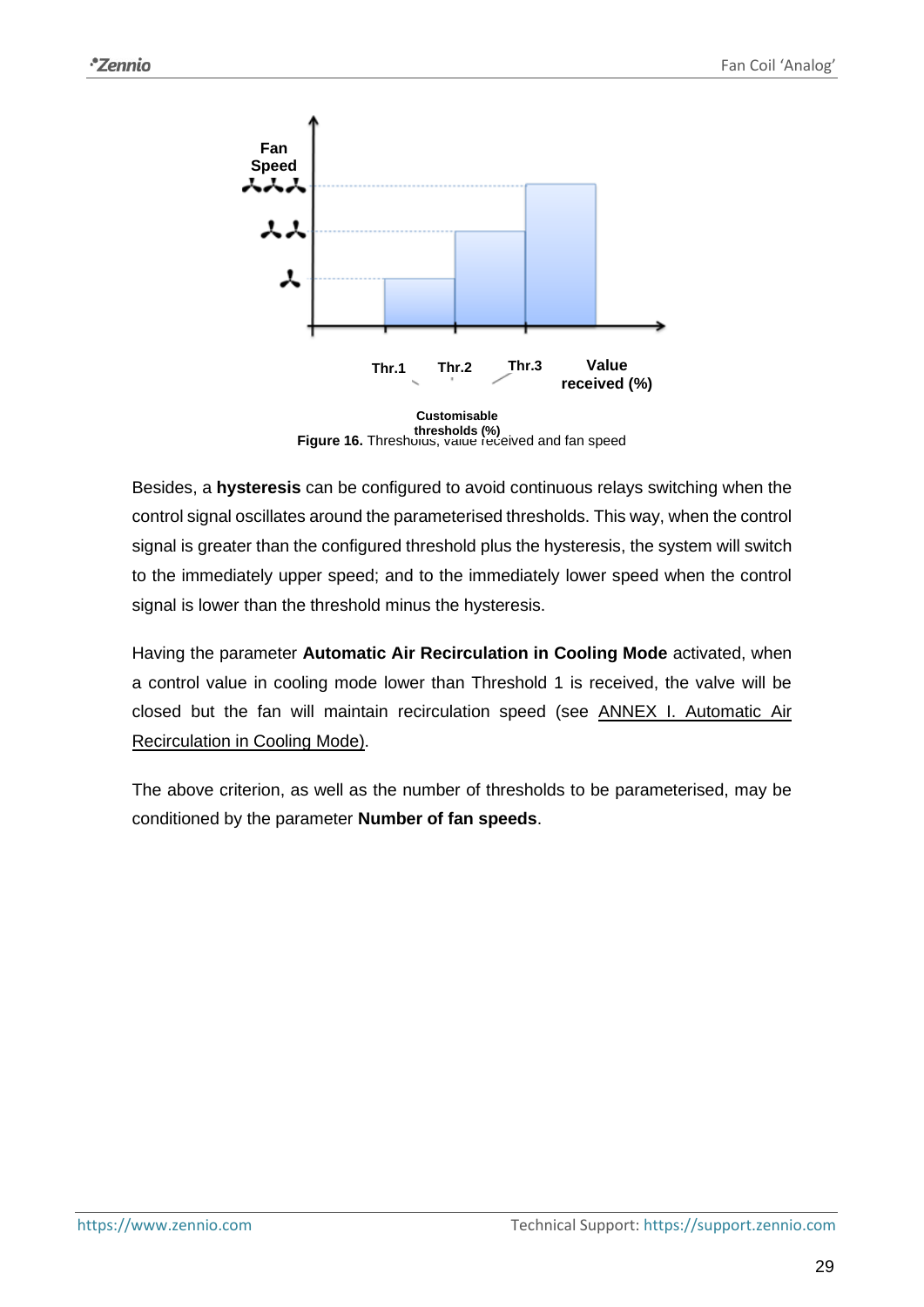

**Figure 16.** Thresholds, value received and fan speed **thresholds (%)**

Besides, a **hysteresis** can be configured to avoid continuous relays switching when the control signal oscillates around the parameterised thresholds. This way, when the control signal is greater than the configured threshold plus the hysteresis, the system will switch to the immediately upper speed; and to the immediately lower speed when the control signal is lower than the threshold minus the hysteresis.

Having the parameter **Automatic Air Recirculation in Cooling Mode** activated, when a control value in cooling mode lower than Threshold 1 is received, the valve will be closed but the fan will maintain recirculation speed (see [ANNEX I. Automatic Air](#page-35-0)  [Recirculation in Cooling Mode\)](#page-35-0).

The above criterion, as well as the number of thresholds to be parameterised, may be conditioned by the parameter **Number of fan speeds**.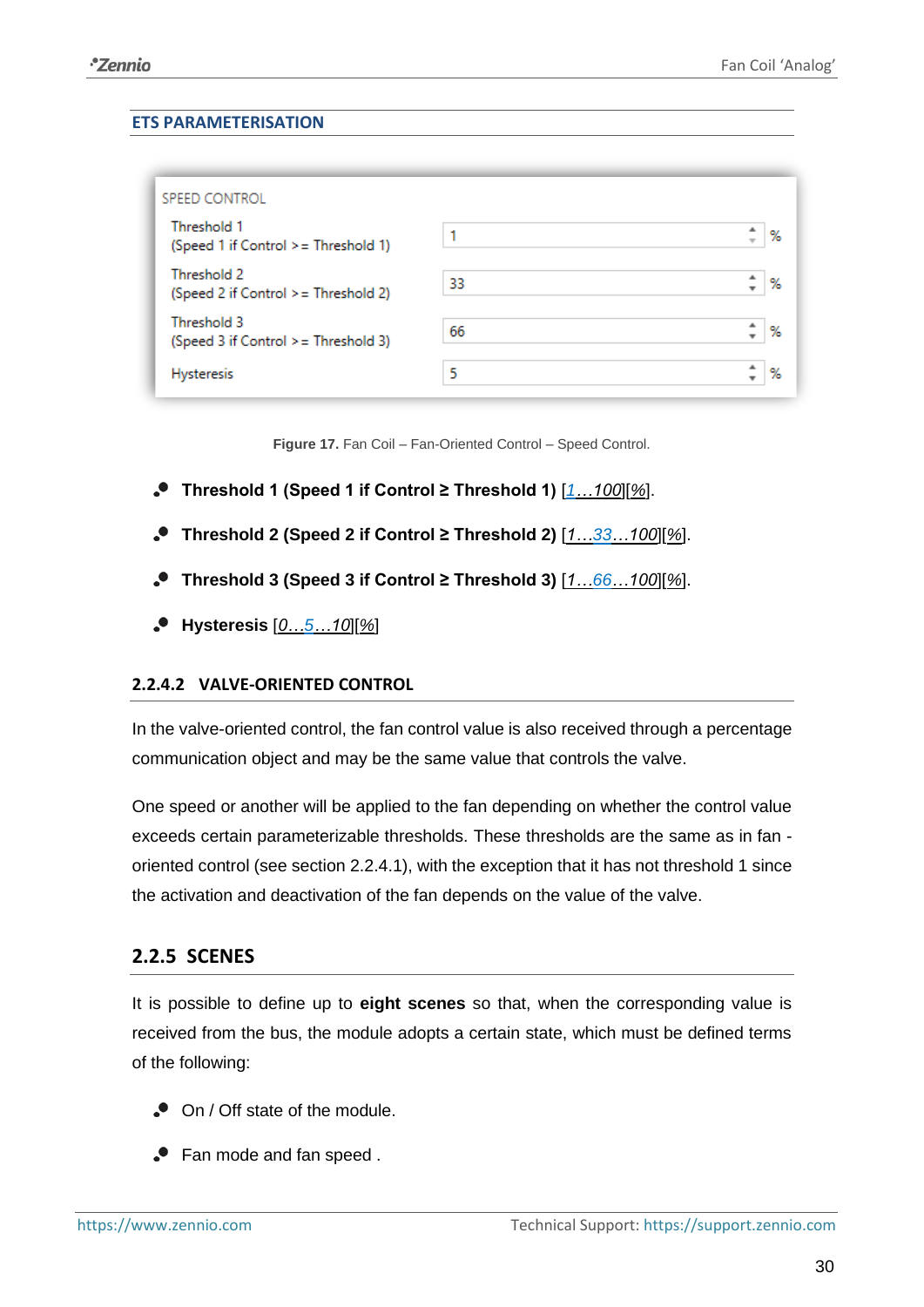### **ETS PARAMETERISATION**

| SPEED CONTROL                                       |    |        |
|-----------------------------------------------------|----|--------|
| Threshold 1<br>(Speed 1 if Control > = Threshold 1) |    | %      |
| Threshold 2<br>(Speed 2 if Control > = Threshold 2) | 33 | %      |
| Threshold 3<br>(Speed 3 if Control > = Threshold 3) | 66 | %      |
| <b>Hysteresis</b>                                   | 5  | ዹ<br>% |

**Figure 17.** Fan Coil – Fan-Oriented Control – Speed Control.

- **Threshold 1 (Speed 1 if Control ≥ Threshold 1)** [*1…100*][*%*].
- **Threshold 2 (Speed 2 if Control ≥ Threshold 2)** [*1…33…100*][*%*].
- **Threshold 3 (Speed 3 if Control ≥ Threshold 3)** [*1…66…100*][*%*].
- **Hysteresis** [*0…5…10*][*%*]

## <span id="page-29-1"></span>**2.2.4.2 VALVE-ORIENTED CONTROL**

In the valve-oriented control, the fan control value is also received through a percentage communication object and may be the same value that controls the valve.

One speed or another will be applied to the fan depending on whether the control value exceeds certain parameterizable thresholds. These thresholds are the same as in fan oriented control (see section [2.2.4.1\)](#page-27-0), with the exception that it has not threshold 1 since the activation and deactivation of the fan depends on the value of the valve.

## <span id="page-29-0"></span>**2.2.5 SCENES**

It is possible to define up to **eight scenes** so that, when the corresponding value is received from the bus, the module adopts a certain state, which must be defined terms of the following:

- On / Off state of the module.
- Fan mode and fan speed .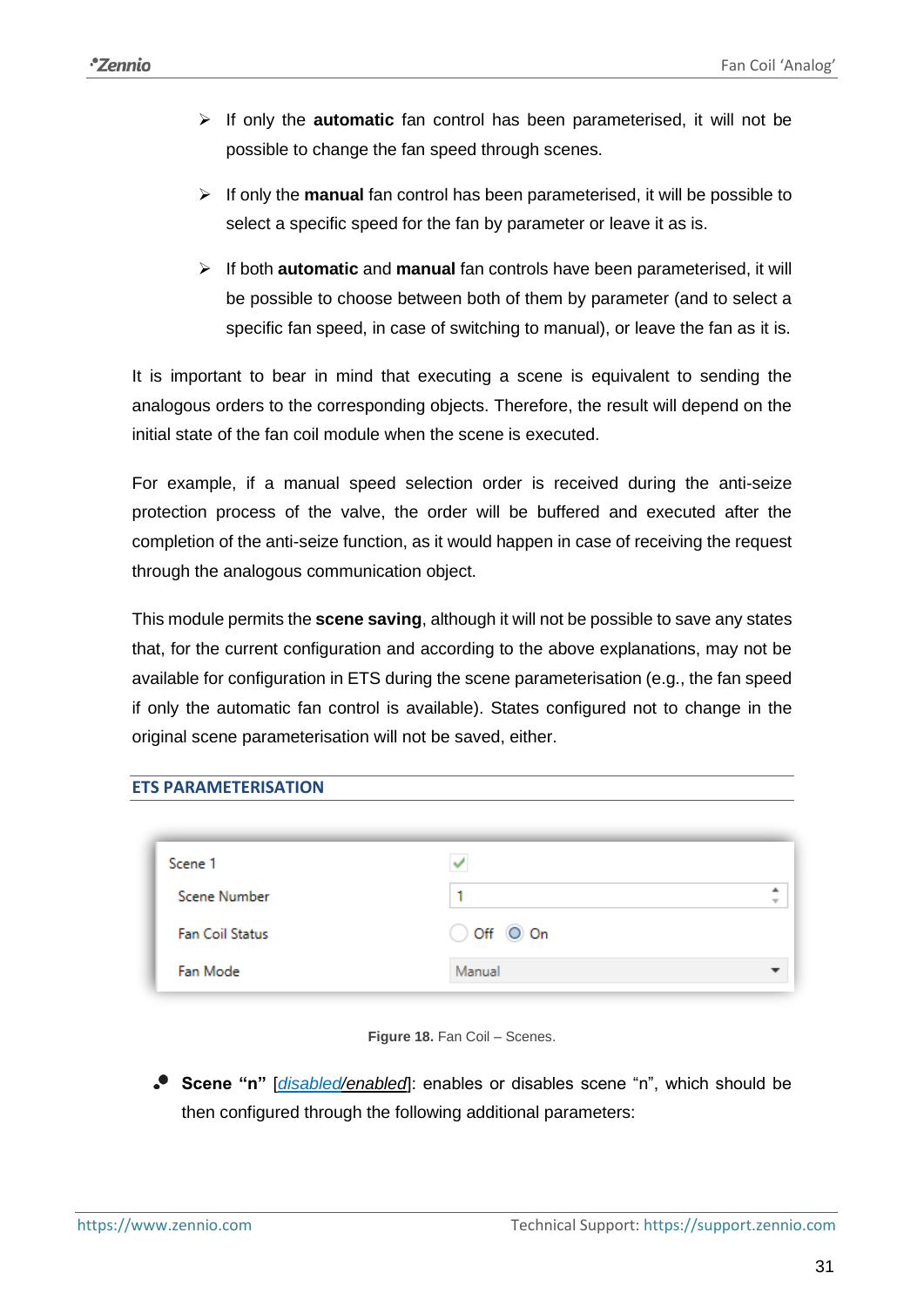- ➢ If only the **automatic** fan control has been parameterised, it will not be possible to change the fan speed through scenes.
- ➢ If only the **manual** fan control has been parameterised, it will be possible to select a specific speed for the fan by parameter or leave it as is.
- ➢ If both **automatic** and **manual** fan controls have been parameterised, it will be possible to choose between both of them by parameter (and to select a specific fan speed, in case of switching to manual), or leave the fan as it is.

It is important to bear in mind that executing a scene is equivalent to sending the analogous orders to the corresponding objects. Therefore, the result will depend on the initial state of the fan coil module when the scene is executed.

For example, if a manual speed selection order is received during the anti-seize protection process of the valve, the order will be buffered and executed after the completion of the anti-seize function, as it would happen in case of receiving the request through the analogous communication object.

This module permits the **scene saving**, although it will not be possible to save any states that, for the current configuration and according to the above explanations, may not be available for configuration in ETS during the scene parameterisation (e.g., the fan speed if only the automatic fan control is available). States configured not to change in the original scene parameterisation will not be saved, either.

#### **ETS PARAMETERISATION**

| Scene 1                |                              |                               |
|------------------------|------------------------------|-------------------------------|
| <b>Scene Number</b>    |                              | ۰<br>$\overline{\phantom{a}}$ |
| <b>Fan Coil Status</b> | $\bigcirc$ Off $\bigcirc$ On |                               |
| Fan Mode               | Manual                       |                               |



**Scene "n"** [*disabled/enabled*]: enables or disables scene "n", which should be then configured through the following additional parameters: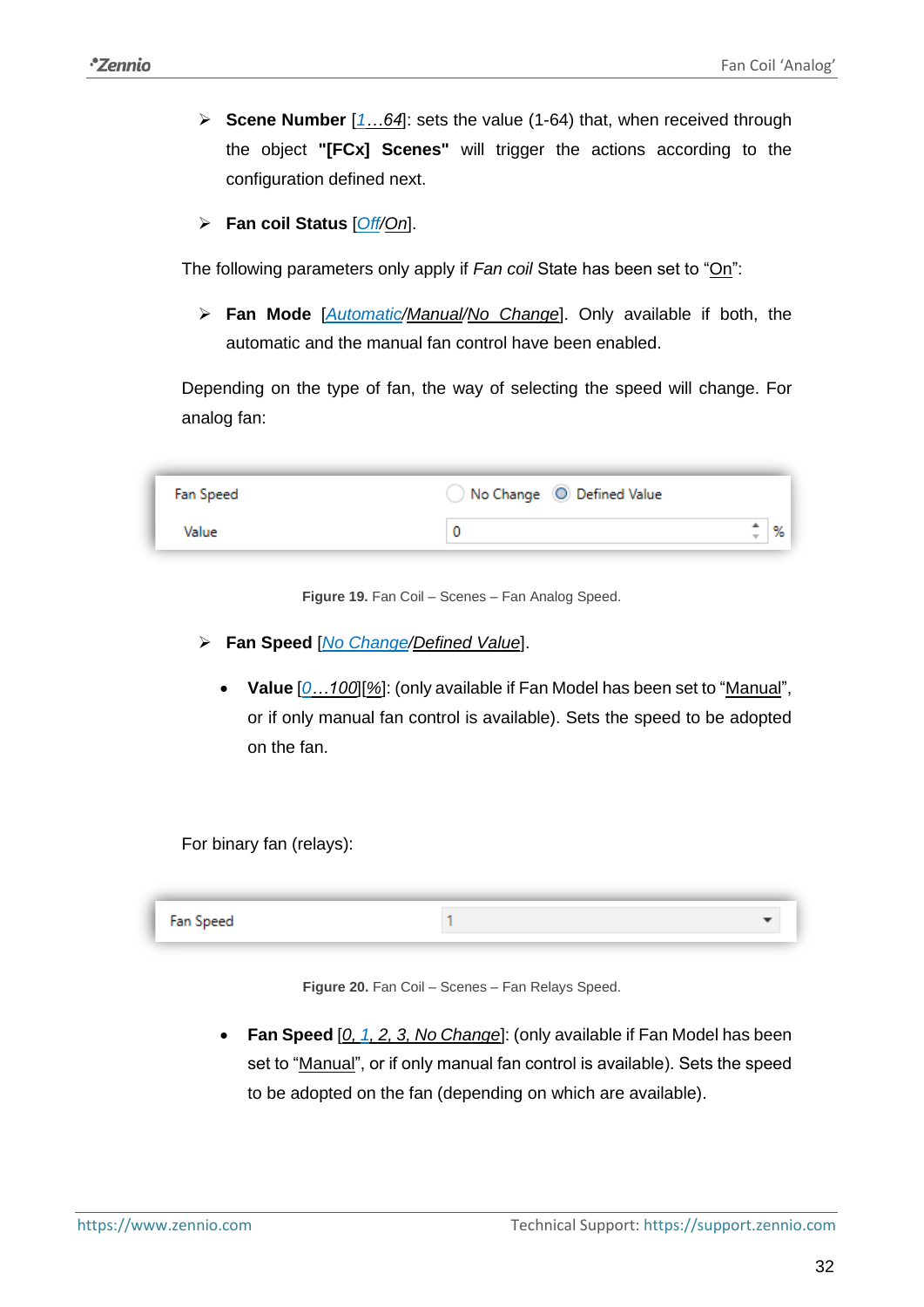- ➢ **Scene Number** [*1…64*]: sets the value (1-64) that, when received through the object **"[FCx] Scenes"** will trigger the actions according to the configuration defined next.
- ➢ **Fan coil Status** [*Off/On*].

The following parameters only apply if *Fan coil* State has been set to "On":

➢ **Fan Mode** [*Automatic/Manual/No Change*]. Only available if both, the automatic and the manual fan control have been enabled.

Depending on the type of fan, the way of selecting the speed will change. For analog fan:

| Fan Speed | No Change © Defined Value |                          |    |
|-----------|---------------------------|--------------------------|----|
| Value     |                           | $\overline{\phantom{a}}$ | ٥۷ |

**Figure 19.** Fan Coil – Scenes – Fan Analog Speed.

- ➢ **Fan Speed** [*No Change/Defined Value*].
	- **Value** [*0…100*][*%*]: (only available if Fan Model has been set to "Manual", or if only manual fan control is available). Sets the speed to be adopted on the fan.

For binary fan (relays):

| Fan Speed |  |
|-----------|--|
|           |  |

**Figure 20.** Fan Coil – Scenes – Fan Relays Speed.

• **Fan Speed** [*0, 1, 2, 3, No Change*]: (only available if Fan Model has been set to "Manual", or if only manual fan control is available). Sets the speed to be adopted on the fan (depending on which are available).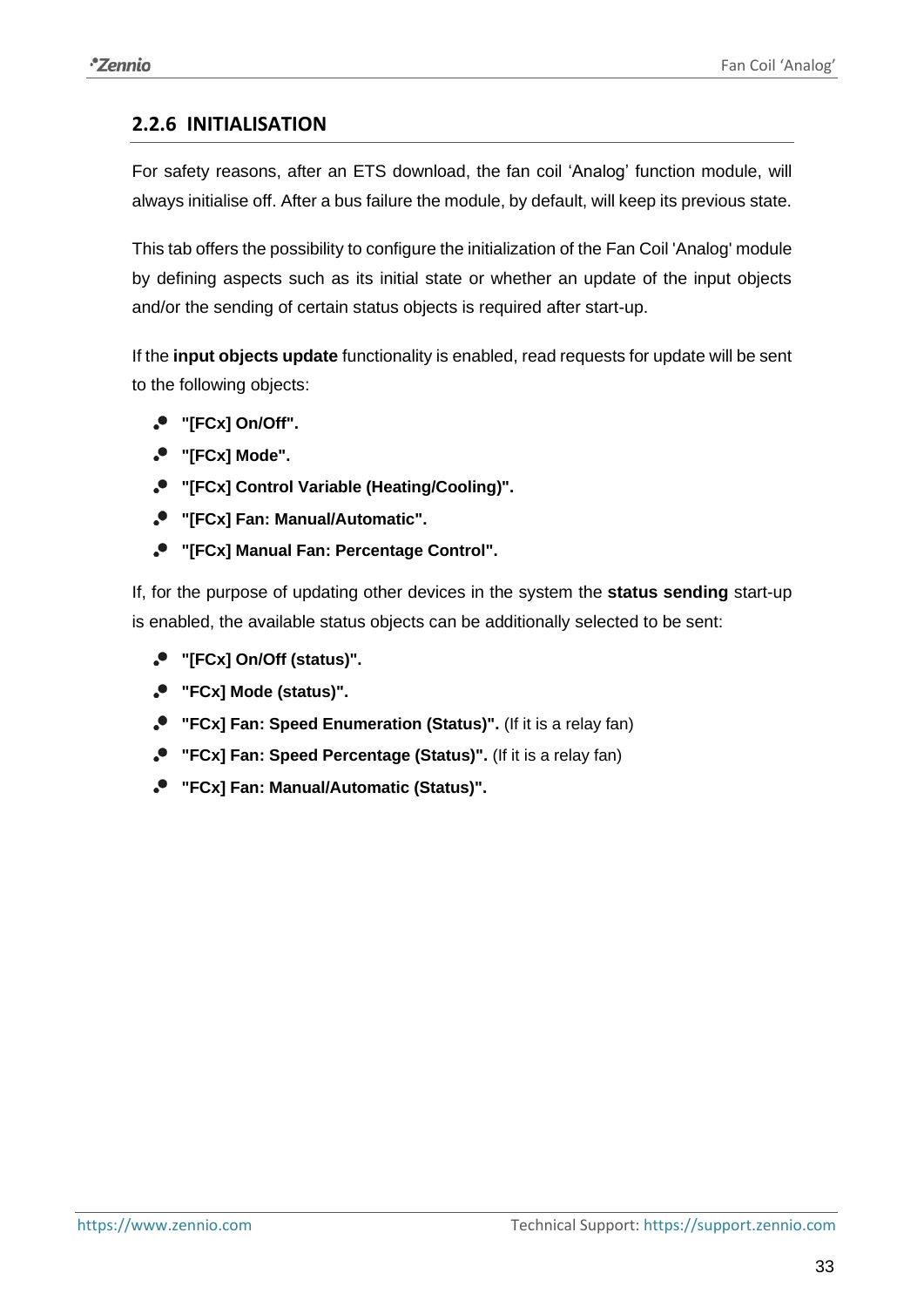## <span id="page-32-0"></span>**2.2.6 INITIALISATION**

For safety reasons, after an ETS download, the fan coil 'Analog' function module, will always initialise off. After a bus failure the module, by default, will keep its previous state.

This tab offers the possibility to configure the initialization of the Fan Coil 'Analog' module by defining aspects such as its initial state or whether an update of the input objects and/or the sending of certain status objects is required after start-up.

If the **input objects update** functionality is enabled, read requests for update will be sent to the following objects:

- **"[FCx] On/Off".**
- **"[FCx] Mode".**
- **"[FCx] Control Variable (Heating/Cooling)".**
- **"[FCx] Fan: Manual/Automatic".**
- **"[FCx] Manual Fan: Percentage Control".**

If, for the purpose of updating other devices in the system the **status sending** start-up is enabled, the available status objects can be additionally selected to be sent:

- **"[FCx] On/Off (status)".**
- **"FCx] Mode (status)".**
- **"FCx] Fan: Speed Enumeration (Status)".** (If it is a relay fan)
- **"FCx] Fan: Speed Percentage (Status)".** (If it is a relay fan)
- **"FCx] Fan: Manual/Automatic (Status)".**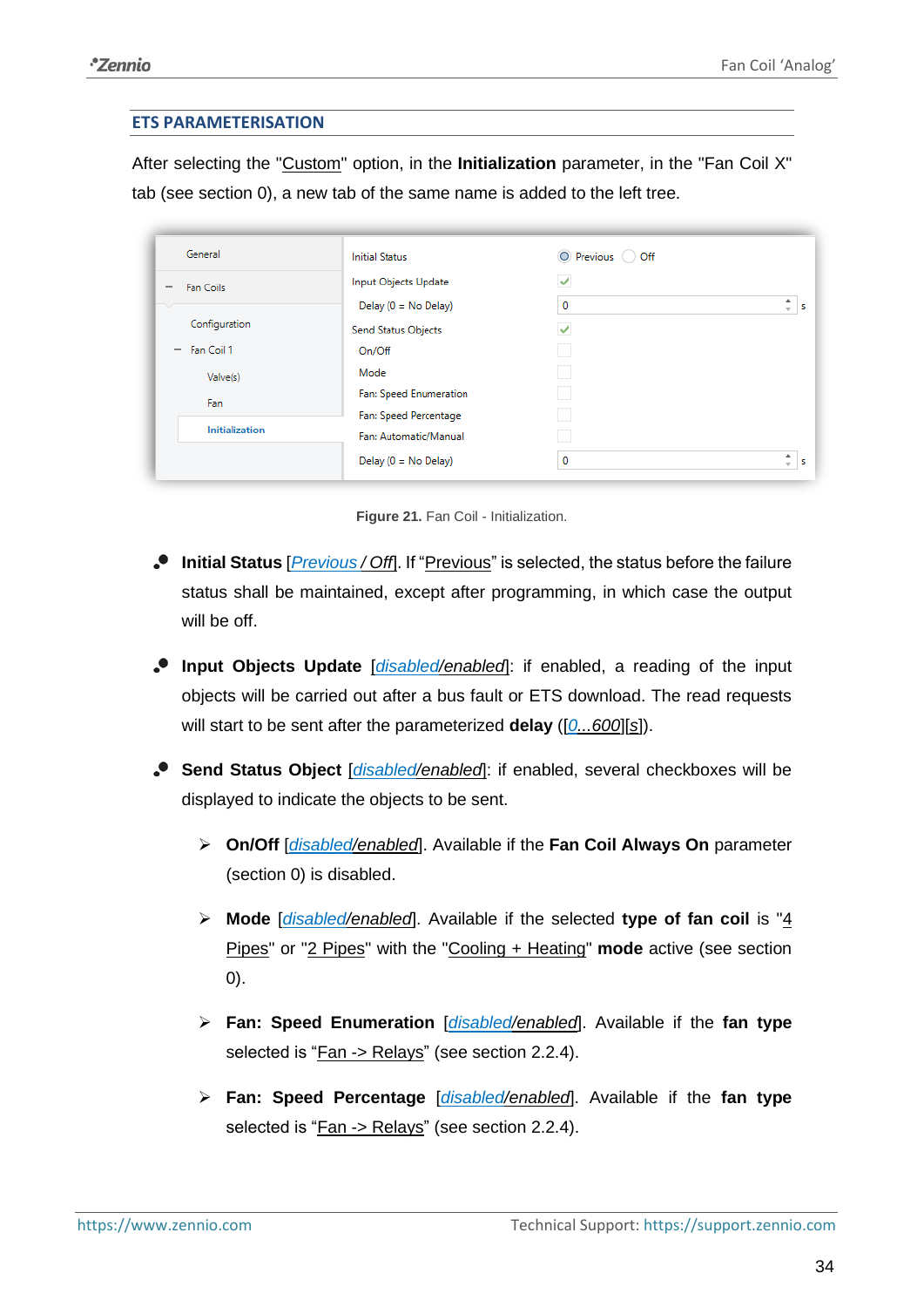#### **ETS PARAMETERISATION**

After selecting the "Custom" option, in the **Initialization** parameter, in the "Fan Coil X" tab (see section [0\)](#page-4-2), a new tab of the same name is added to the left tree.

| General                                | <b>Initial Status</b>      | O Previous O Off |                               |
|----------------------------------------|----------------------------|------------------|-------------------------------|
| Fan Coils                              | Input Objects Update       | V                |                               |
|                                        | Delay $(0 = No$ Delay)     | 0                | ٠.<br>$\sim$                  |
| Configuration                          | <b>Send Status Objects</b> | ✔                |                               |
| Fan Coil 1<br>$\overline{\phantom{m}}$ | On/Off                     |                  |                               |
| Valve(s)                               | Mode                       |                  |                               |
| Fan                                    | Fan: Speed Enumeration     |                  |                               |
| <b>Initialization</b>                  | Fan: Speed Percentage      |                  |                               |
|                                        | Fan: Automatic/Manual      |                  |                               |
|                                        | Delay $(0 = No$ Delay)     | 0                | ۰<br>$\overline{\phantom{a}}$ |

**Figure 21.** Fan Coil - Initialization.

- **Initial Status** [*Previous / Off*]. If "Previous" is selected, the status before the failure status shall be maintained, except after programming, in which case the output will be off.
- **Input Objects Update** [*disabled/enabled*]: if enabled, a reading of the input objects will be carried out after a bus fault or ETS download. The read requests will start to be sent after the parameterized **delay** ([*0...600*][*s*]).
- **Send Status Object** [*disabled/enabled*]: if enabled, several checkboxes will be displayed to indicate the objects to be sent.
	- ➢ **On/Off** [*disabled/enabled*]. Available if the **Fan Coil Always On** parameter (section [0\)](#page-4-2) is disabled.
	- ➢ **Mode** [*disabled/enabled*]. Available if the selected **type of fan coil** is "4 Pipes" or "2 Pipes" with the "Cooling + Heating" **mode** active (see section [0\)](#page-4-2).
	- ➢ **Fan: Speed Enumeration** [*disabled/enabled*]. Available if the **fan type** selected is "Fan -> Relays" (see section [2.2.4\)](#page-25-0).
	- ➢ **Fan: Speed Percentage** [*disabled/enabled*]. Available if the **fan type** selected is "Fan -> Relays" (see section [2.2.4\)](#page-25-0).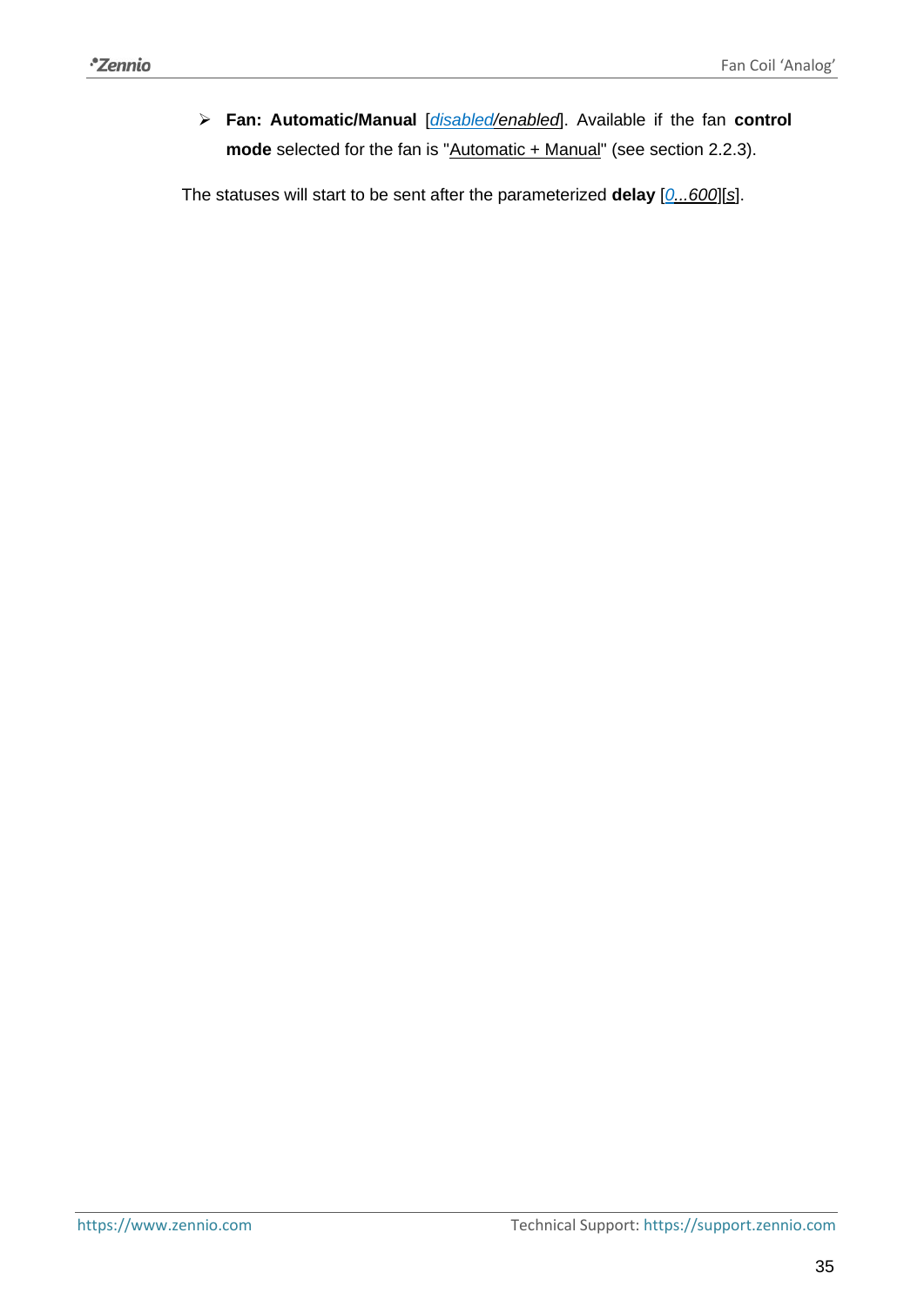➢ **Fan: Automatic/Manual** [*disabled/enabled*]. Available if the fan **control**  mode selected for the fan is "Automatic + Manual" (see section [2.2.3\)](#page-16-0).

The statuses will start to be sent after the parameterized **delay** [*0...600*][*s*].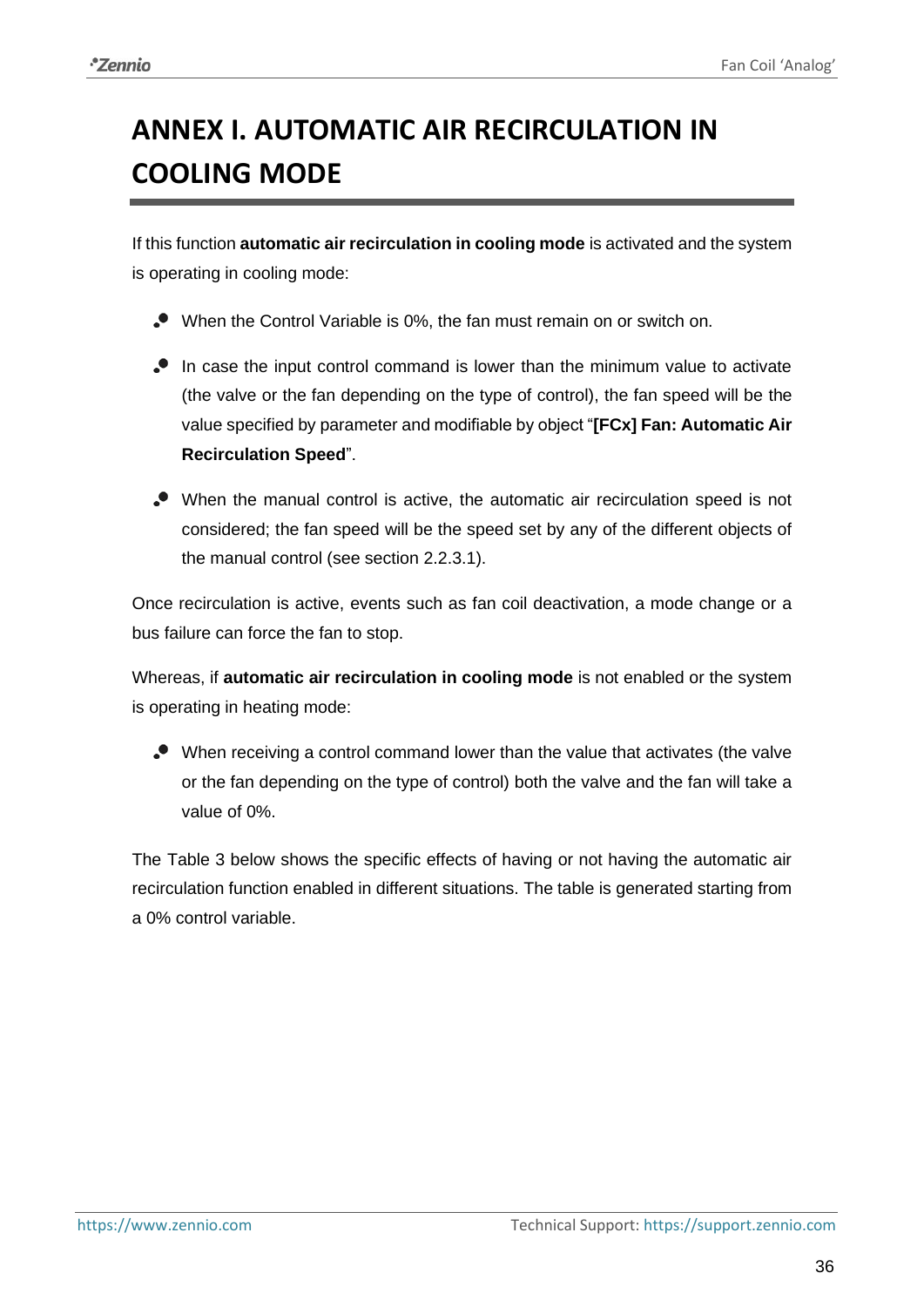## <span id="page-35-0"></span>**ANNEX I. AUTOMATIC AIR RECIRCULATION IN COOLING MODE**

If this function **automatic air recirculation in cooling mode** is activated and the system is operating in cooling mode:

- When the Control Variable is 0%, the fan must remain on or switch on.
- In case the input control command is lower than the minimum value to activate (the valve or the fan depending on the type of control), the fan speed will be the value specified by parameter and modifiable by object "**[FCx] Fan: Automatic Air Recirculation Speed**".
- When the manual control is active, the automatic air recirculation speed is not considered; the fan speed will be the speed set by any of the different objects of the manual control (see section [2.2.3.1\)](#page-16-1).

Once recirculation is active, events such as fan coil deactivation, a mode change or a bus failure can force the fan to stop.

Whereas, if **automatic air recirculation in cooling mode** is not enabled or the system is operating in heating mode:

When receiving a control command lower than the value that activates (the valve or the fan depending on the type of control) both the valve and the fan will take a value of 0%.

The [Table 3](#page-36-0) below shows the specific effects of having or not having the automatic air recirculation function enabled in different situations. The table is generated starting from a 0% control variable.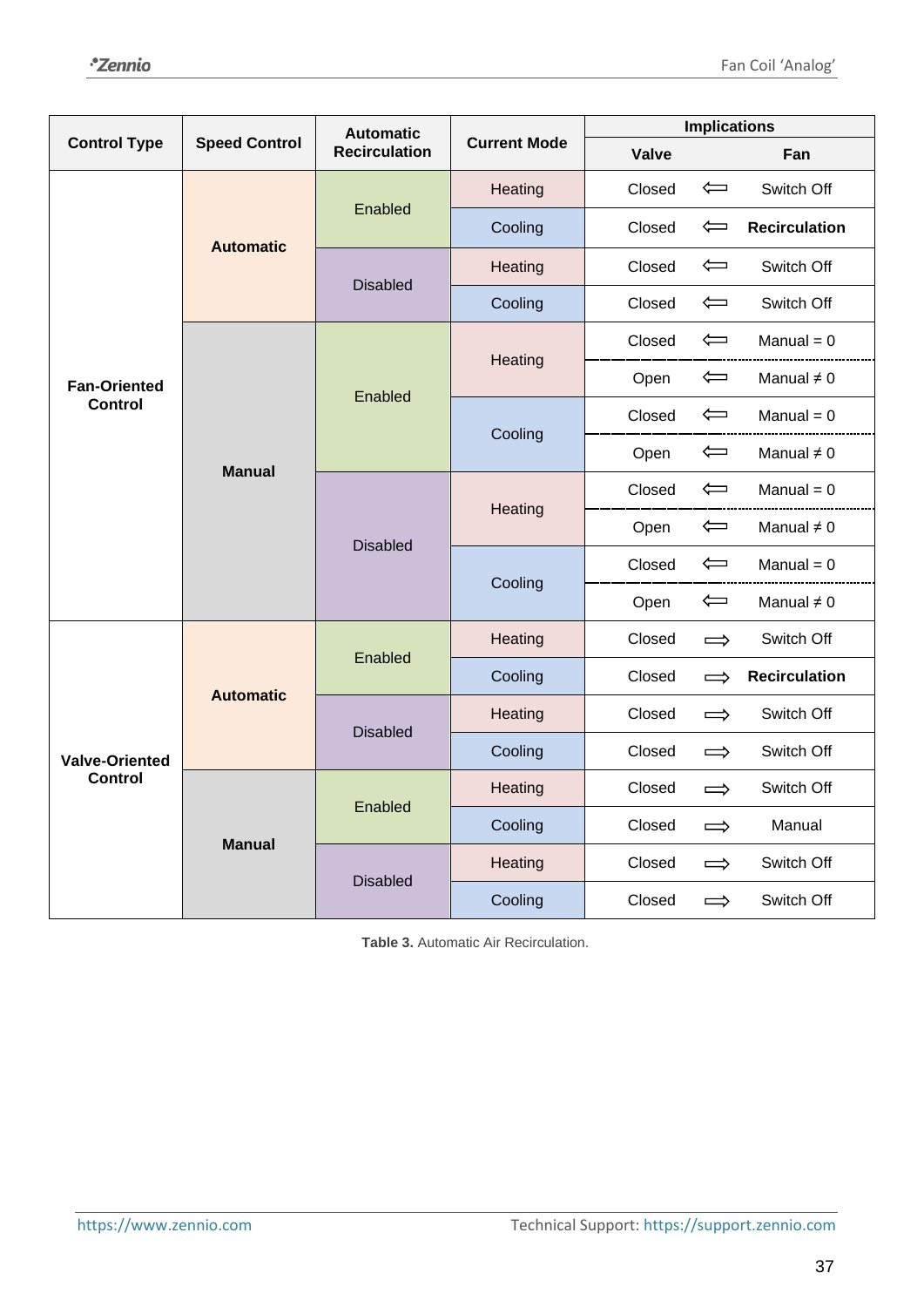|                       | <b>Automatic</b>     |                      |                     |        | <b>Implications</b>                  |                                 |
|-----------------------|----------------------|----------------------|---------------------|--------|--------------------------------------|---------------------------------|
| <b>Control Type</b>   | <b>Speed Control</b> | <b>Recirculation</b> | <b>Current Mode</b> | Valve  | Fan                                  |                                 |
|                       |                      | Enabled              | Heating             | Closed | $\Leftarrow$<br>Switch Off           |                                 |
|                       | <b>Automatic</b>     |                      | Cooling             | Closed | $\Leftarrow$<br><b>Recirculation</b> |                                 |
|                       |                      | <b>Disabled</b>      | Heating             | Closed | $\Longleftarrow$<br>Switch Off       |                                 |
|                       |                      |                      | Cooling             | Closed | Switch Off<br>$\Leftarrow$           |                                 |
|                       |                      |                      | Heating             | Closed | $M$ anual = 0<br>$\Leftarrow$        |                                 |
| <b>Fan-Oriented</b>   |                      | Enabled              |                     | Open   | $\Longleftarrow$<br>Manual $\neq 0$  |                                 |
| <b>Control</b>        |                      |                      |                     | Closed | $\Longleftarrow$<br>$M$ anual = 0    |                                 |
|                       | <b>Manual</b>        |                      | Cooling             | Open   | $\Leftarrow$<br>Manual $\neq 0$      |                                 |
|                       |                      |                      |                     | Closed | $\Leftarrow$<br>$M$ anual = 0        |                                 |
|                       |                      | <b>Disabled</b>      | Heating             |        | Open                                 | $\Leftarrow$<br>Manual $\neq 0$ |
|                       |                      |                      | Cooling             | Closed | $\Leftarrow$<br>Manual = $0$         |                                 |
|                       |                      |                      |                     | Open   | $\Longleftarrow$<br>Manual $\neq 0$  |                                 |
|                       |                      | Enabled              | Heating             | Closed | Switch Off<br>$\Rightarrow$          |                                 |
|                       | <b>Automatic</b>     |                      | Cooling             | Closed | <b>Recirculation</b><br>$\implies$   |                                 |
|                       |                      | <b>Disabled</b>      | Heating             | Closed | Switch Off<br>$\Rightarrow$          |                                 |
| <b>Valve-Oriented</b> |                      |                      | Cooling             | Closed | Switch Off<br>$\Rightarrow$          |                                 |
| <b>Control</b>        |                      | Enabled              | Heating             | Closed | Switch Off<br>$\Rightarrow$          |                                 |
|                       | <b>Manual</b>        |                      | Cooling             | Closed | Manual<br>$\Rightarrow$              |                                 |
|                       |                      | <b>Disabled</b>      | Heating             | Closed | Switch Off<br>$\Rightarrow$          |                                 |
|                       |                      |                      | Cooling             | Closed | Switch Off<br>$\implies$             |                                 |

<span id="page-36-0"></span>**Table 3.** Automatic Air Recirculation.